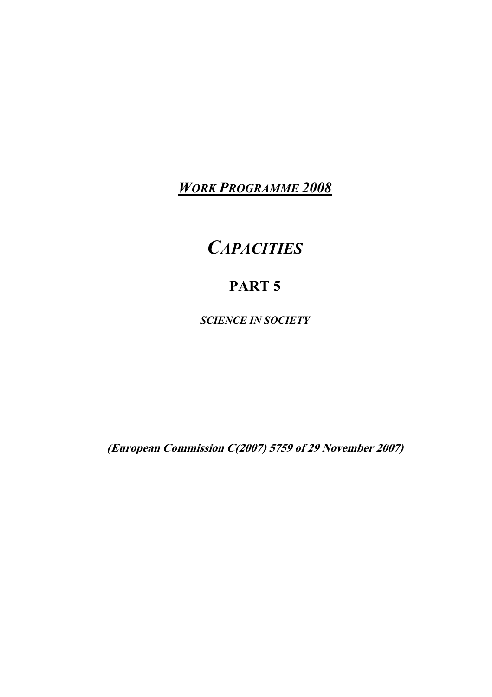*WORK PROGRAMME 2008*

# *CAPACITIES*

# **PART 5**

*SCIENCE IN SOCIETY*

**(European Commission C(2007) 5759 of 29 November 2007)**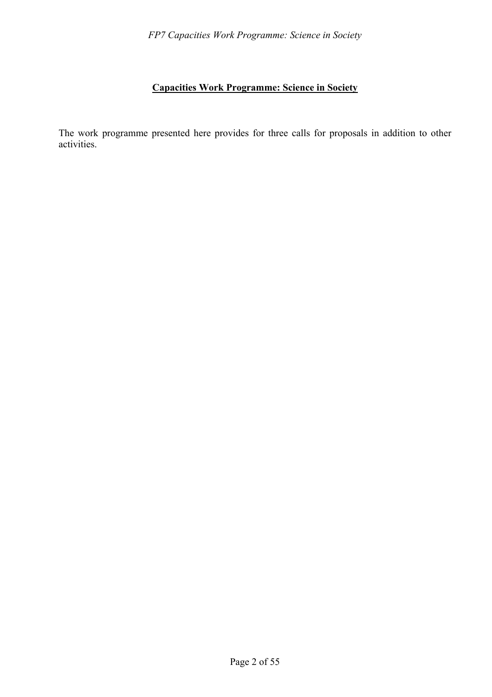# **Capacities Work Programme: Science in Society**

The work programme presented here provides for three calls for proposals in addition to other activities.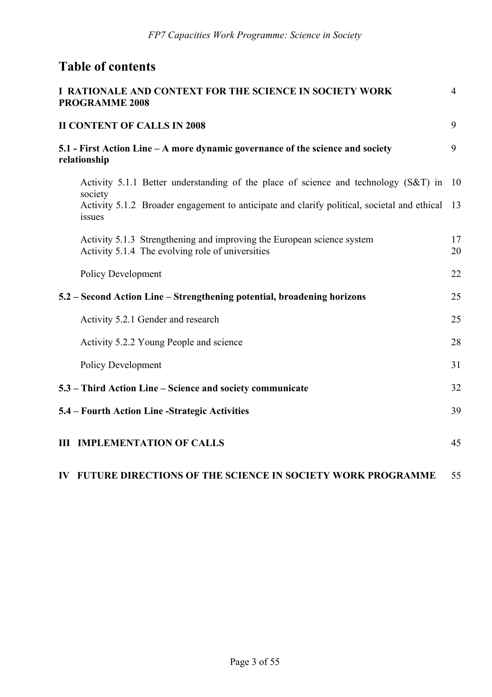# **Table of contents**

| I RATIONALE AND CONTEXT FOR THE SCIENCE IN SOCIETY WORK<br><b>PROGRAMME 2008</b>                                           | $\overline{4}$ |
|----------------------------------------------------------------------------------------------------------------------------|----------------|
| <b>II CONTENT OF CALLS IN 2008</b>                                                                                         | 9              |
| 5.1 - First Action Line – A more dynamic governance of the science and society<br>relationship                             | 9              |
| Activity 5.1.1 Better understanding of the place of science and technology (S&T) in<br>society                             | 10             |
| Activity 5.1.2 Broader engagement to anticipate and clarify political, societal and ethical<br>issues                      | 13             |
| Activity 5.1.3 Strengthening and improving the European science system<br>Activity 5.1.4 The evolving role of universities | 17<br>20       |
| Policy Development                                                                                                         | 22             |
| 5.2 - Second Action Line - Strengthening potential, broadening horizons                                                    | 25             |
| Activity 5.2.1 Gender and research                                                                                         | 25             |
| Activity 5.2.2 Young People and science                                                                                    | 28             |
| <b>Policy Development</b>                                                                                                  | 31             |
| 5.3 – Third Action Line – Science and society communicate                                                                  | 32             |
| 5.4 – Fourth Action Line -Strategic Activities                                                                             | 39             |
| <b>III IMPLEMENTATION OF CALLS</b>                                                                                         | 45             |
| IV FUTURE DIRECTIONS OF THE SCIENCE IN SOCIETY WORK PROGRAMME                                                              | 55             |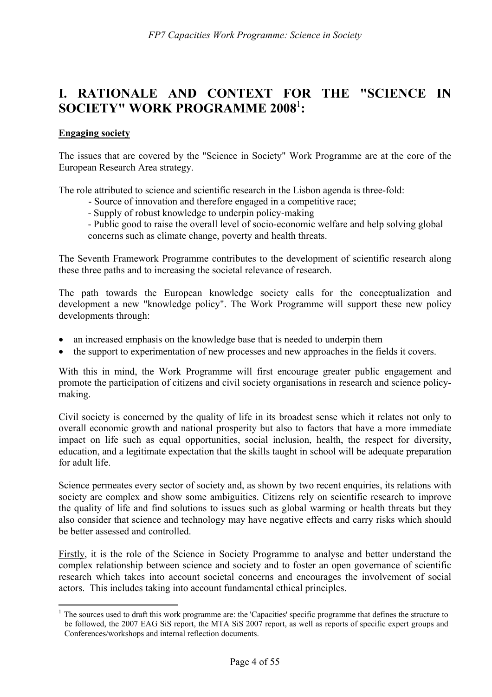# **I. RATIONALE AND CONTEXT FOR THE "SCIENCE IN SOCIETY" WORK PROGRAMME 2008**<sup>1</sup> **:**

#### **Engaging society**

 $\overline{a}$ 

The issues that are covered by the "Science in Society" Work Programme are at the core of the European Research Area strategy.

The role attributed to science and scientific research in the Lisbon agenda is three-fold:

- Source of innovation and therefore engaged in a competitive race;
- Supply of robust knowledge to underpin policy-making

- Public good to raise the overall level of socio-economic welfare and help solving global concerns such as climate change, poverty and health threats.

The Seventh Framework Programme contributes to the development of scientific research along these three paths and to increasing the societal relevance of research.

The path towards the European knowledge society calls for the conceptualization and development a new "knowledge policy". The Work Programme will support these new policy developments through:

- an increased emphasis on the knowledge base that is needed to underpin them
- the support to experimentation of new processes and new approaches in the fields it covers.

With this in mind, the Work Programme will first encourage greater public engagement and promote the participation of citizens and civil society organisations in research and science policymaking.

Civil society is concerned by the quality of life in its broadest sense which it relates not only to overall economic growth and national prosperity but also to factors that have a more immediate impact on life such as equal opportunities, social inclusion, health, the respect for diversity, education, and a legitimate expectation that the skills taught in school will be adequate preparation for adult life.

Science permeates every sector of society and, as shown by two recent enquiries, its relations with society are complex and show some ambiguities. Citizens rely on scientific research to improve the quality of life and find solutions to issues such as global warming or health threats but they also consider that science and technology may have negative effects and carry risks which should be better assessed and controlled.

Firstly, it is the role of the Science in Society Programme to analyse and better understand the complex relationship between science and society and to foster an open governance of scientific research which takes into account societal concerns and encourages the involvement of social actors. This includes taking into account fundamental ethical principles.

 $<sup>1</sup>$  The sources used to draft this work programme are: the 'Capacities' specific programme that defines the structure to</sup> be followed, the 2007 EAG SiS report, the MTA SiS 2007 report, as well as reports of specific expert groups and Conferences/workshops and internal reflection documents.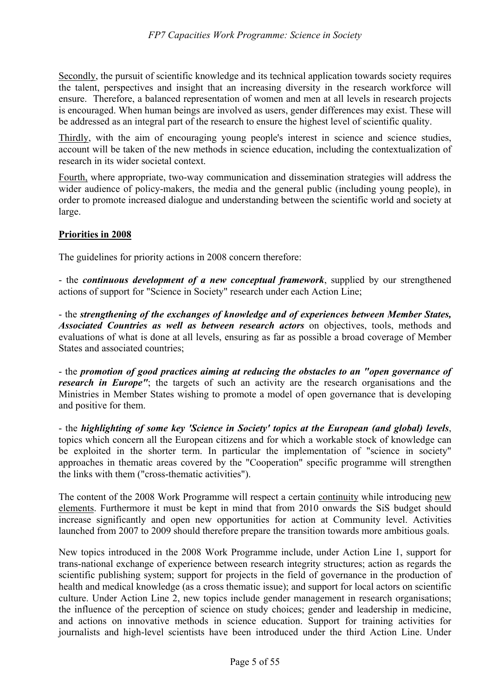Secondly, the pursuit of scientific knowledge and its technical application towards society requires the talent, perspectives and insight that an increasing diversity in the research workforce will ensure. Therefore, a balanced representation of women and men at all levels in research projects is encouraged. When human beings are involved as users, gender differences may exist. These will be addressed as an integral part of the research to ensure the highest level of scientific quality.

Thirdly, with the aim of encouraging young people's interest in science and science studies, account will be taken of the new methods in science education, including the contextualization of research in its wider societal context.

Fourth, where appropriate, two-way communication and dissemination strategies will address the wider audience of policy-makers, the media and the general public (including young people), in order to promote increased dialogue and understanding between the scientific world and society at large.

### **Priorities in 2008**

The guidelines for priority actions in 2008 concern therefore:

- the *continuous development of a new conceptual framework*, supplied by our strengthened actions of support for "Science in Society" research under each Action Line;

- the *strengthening of the exchanges of knowledge and of experiences between Member States, Associated Countries as well as between research actors* on objectives, tools, methods and evaluations of what is done at all levels, ensuring as far as possible a broad coverage of Member States and associated countries;

- the *promotion of good practices aiming at reducing the obstacles to an "open governance of research in Europe"*; the targets of such an activity are the research organisations and the Ministries in Member States wishing to promote a model of open governance that is developing and positive for them.

- the *highlighting of some key 'Science in Society' topics at the European (and global) levels*, topics which concern all the European citizens and for which a workable stock of knowledge can be exploited in the shorter term. In particular the implementation of "science in society" approaches in thematic areas covered by the "Cooperation" specific programme will strengthen the links with them ("cross-thematic activities").

The content of the 2008 Work Programme will respect a certain continuity while introducing new elements. Furthermore it must be kept in mind that from 2010 onwards the SiS budget should increase significantly and open new opportunities for action at Community level. Activities launched from 2007 to 2009 should therefore prepare the transition towards more ambitious goals.

New topics introduced in the 2008 Work Programme include, under Action Line 1, support for trans-national exchange of experience between research integrity structures; action as regards the scientific publishing system; support for projects in the field of governance in the production of health and medical knowledge (as a cross thematic issue); and support for local actors on scientific culture. Under Action Line 2, new topics include gender management in research organisations; the influence of the perception of science on study choices; gender and leadership in medicine, and actions on innovative methods in science education. Support for training activities for journalists and high-level scientists have been introduced under the third Action Line. Under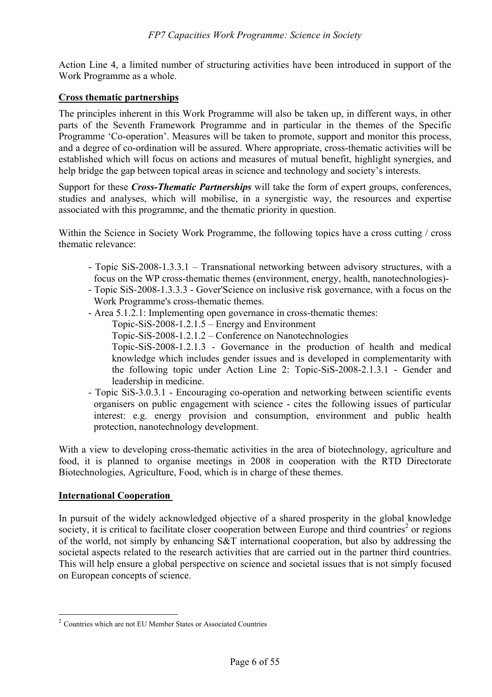Action Line 4, a limited number of structuring activities have been introduced in support of the Work Programme as a whole.

### **Cross thematic partnerships**

The principles inherent in this Work Programme will also be taken up, in different ways, in other parts of the Seventh Framework Programme and in particular in the themes of the Specific Programme 'Co-operation'. Measures will be taken to promote, support and monitor this process, and a degree of co-ordination will be assured. Where appropriate, cross-thematic activities will be established which will focus on actions and measures of mutual benefit, highlight synergies, and help bridge the gap between topical areas in science and technology and society's interests.

Support for these *Cross-Thematic Partnerships* will take the form of expert groups, conferences, studies and analyses, which will mobilise, in a synergistic way, the resources and expertise associated with this programme, and the thematic priority in question.

Within the Science in Society Work Programme, the following topics have a cross cutting / cross thematic relevance:

- Topic SiS-2008-1.3.3.1 Transnational networking between advisory structures, with a focus on the WP cross-thematic themes (environment, energy, health, nanotechnologies)-
- Topic SiS-2008-1.3.3.3 Gover'Science on inclusive risk governance, with a focus on the Work Programme's cross-thematic themes.
- Area 5.1.2.1: Implementing open governance in cross-thematic themes:
	- Topic-SiS-2008-1.2.1.5 Energy and Environment
		- Topic-SiS-2008-1.2.1.2 Conference on Nanotechnologies
	- Topic-SiS-2008-1.2.1.3 Governance in the production of health and medical knowledge which includes gender issues and is developed in complementarity with the following topic under Action Line 2: Topic-SiS-2008-2.1.3.1 - Gender and leadership in medicine.
- Topic SiS-3.0.3.1 Encouraging co-operation and networking between scientific events organisers on public engagement with science - cites the following issues of particular interest: e.g. energy provision and consumption, environment and public health protection, nanotechnology development.

With a view to developing cross-thematic activities in the area of biotechnology, agriculture and food, it is planned to organise meetings in 2008 in cooperation with the RTD Directorate Biotechnologies, Agriculture, Food, which is in charge of these themes.

### **International Cooperation**

 $\overline{a}$ 

In pursuit of the widely acknowledged objective of a shared prosperity in the global knowledge society, it is critical to facilitate closer cooperation between Europe and third countries<sup>2</sup> or regions of the world, not simply by enhancing S&T international cooperation, but also by addressing the societal aspects related to the research activities that are carried out in the partner third countries. This will help ensure a global perspective on science and societal issues that is not simply focused on European concepts of science.

<sup>2</sup> Countries which are not EU Member States or Associated Countries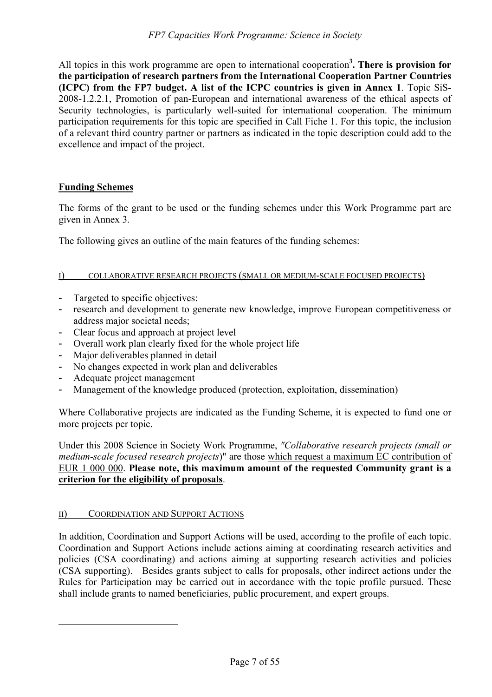All topics in this work programme are open to international cooperation**<sup>3</sup> . There is provision for the participation of research partners from the International Cooperation Partner Countries (ICPC) from the FP7 budget. A list of the ICPC countries is given in Annex 1**. Topic SiS-2008-1.2.2.1, Promotion of pan-European and international awareness of the ethical aspects of Security technologies, is particularly well-suited for international cooperation. The minimum participation requirements for this topic are specified in Call Fiche 1. For this topic, the inclusion of a relevant third country partner or partners as indicated in the topic description could add to the excellence and impact of the project.

### **Funding Schemes**

The forms of the grant to be used or the funding schemes under this Work Programme part are given in Annex 3.

The following gives an outline of the main features of the funding schemes:

#### I) COLLABORATIVE RESEARCH PROJECTS (SMALL OR MEDIUM-SCALE FOCUSED PROJECTS)

- Targeted to specific objectives:
- research and development to generate new knowledge, improve European competitiveness or address major societal needs;
- Clear focus and approach at project level
- Overall work plan clearly fixed for the whole project life
- Major deliverables planned in detail
- No changes expected in work plan and deliverables
- Adequate project management
- Management of the knowledge produced (protection, exploitation, dissemination)

Where Collaborative projects are indicated as the Funding Scheme, it is expected to fund one or more projects per topic.

Under this 2008 Science in Society Work Programme, *"Collaborative research projects (small or medium-scale focused research projects*)" are those which request a maximum EC contribution of EUR 1 000 000. **Please note, this maximum amount of the requested Community grant is a criterion for the eligibility of proposals**.

### II) COORDINATION AND SUPPORT ACTIONS

 $\overline{a}$ 

In addition, Coordination and Support Actions will be used, according to the profile of each topic. Coordination and Support Actions include actions aiming at coordinating research activities and policies (CSA coordinating) and actions aiming at supporting research activities and policies (CSA supporting). Besides grants subject to calls for proposals, other indirect actions under the Rules for Participation may be carried out in accordance with the topic profile pursued. These shall include grants to named beneficiaries, public procurement, and expert groups.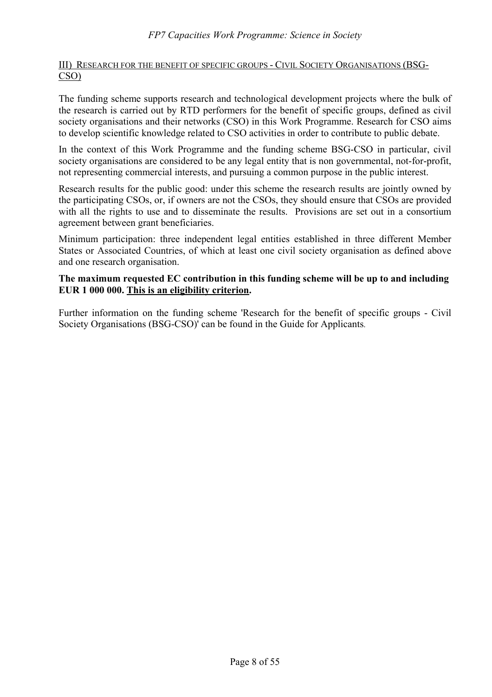### III) RESEARCH FOR THE BENEFIT OF SPECIFIC GROUPS - CIVIL SOCIETY ORGANISATIONS (BSG-CSO)

The funding scheme supports research and technological development projects where the bulk of the research is carried out by RTD performers for the benefit of specific groups, defined as civil society organisations and their networks (CSO) in this Work Programme. Research for CSO aims to develop scientific knowledge related to CSO activities in order to contribute to public debate.

In the context of this Work Programme and the funding scheme BSG-CSO in particular, civil society organisations are considered to be any legal entity that is non governmental, not-for-profit, not representing commercial interests, and pursuing a common purpose in the public interest.

Research results for the public good: under this scheme the research results are jointly owned by the participating CSOs, or, if owners are not the CSOs, they should ensure that CSOs are provided with all the rights to use and to disseminate the results. Provisions are set out in a consortium agreement between grant beneficiaries.

Minimum participation: three independent legal entities established in three different Member States or Associated Countries, of which at least one civil society organisation as defined above and one research organisation.

### **The maximum requested EC contribution in this funding scheme will be up to and including EUR 1 000 000. This is an eligibility criterion.**

Further information on the funding scheme 'Research for the benefit of specific groups - Civil Society Organisations (BSG-CSO)' can be found in the Guide for Applicants.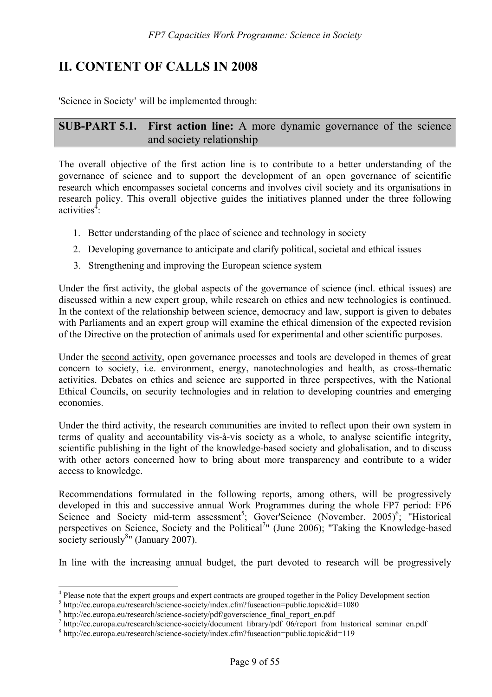# **II. CONTENT OF CALLS IN 2008**

'Science in Society' will be implemented through:

**SUB-PART 5.1. First action line:** A more dynamic governance of the science and society relationship

The overall objective of the first action line is to contribute to a better understanding of the governance of science and to support the development of an open governance of scientific research which encompasses societal concerns and involves civil society and its organisations in research policy. This overall objective guides the initiatives planned under the three following activities<sup> $4$ </sup>:

- 1. Better understanding of the place of science and technology in society
- 2. Developing governance to anticipate and clarify political, societal and ethical issues
- 3. Strengthening and improving the European science system

Under the first activity, the global aspects of the governance of science (incl. ethical issues) are discussed within a new expert group, while research on ethics and new technologies is continued. In the context of the relationship between science, democracy and law, support is given to debates with Parliaments and an expert group will examine the ethical dimension of the expected revision of the Directive on the protection of animals used for experimental and other scientific purposes.

Under the second activity, open governance processes and tools are developed in themes of great concern to society, i.e. environment, energy, nanotechnologies and health, as cross-thematic activities. Debates on ethics and science are supported in three perspectives, with the National Ethical Councils, on security technologies and in relation to developing countries and emerging economies.

Under the third activity, the research communities are invited to reflect upon their own system in terms of quality and accountability vis-à-vis society as a whole, to analyse scientific integrity, scientific publishing in the light of the knowledge-based society and globalisation, and to discuss with other actors concerned how to bring about more transparency and contribute to a wider access to knowledge.

Recommendations formulated in the following reports, among others, will be progressively developed in this and successive annual Work Programmes during the whole FP7 period: FP6 Science and Society mid-term assessment<sup>5</sup>; Gover'Science (November. 2005)<sup>6</sup>; "Historical perspectives on Science, Society and the Political<sup>7</sup>" (June 2006); "Taking the Knowledge-based society seriously $8$ " (January 2007).

In line with the increasing annual budget, the part devoted to research will be progressively

 $\overline{a}$ 

<sup>&</sup>lt;sup>4</sup> Please note that the expert groups and expert contracts are grouped together in the Policy Development section

 $^5$  http://ec.europa.eu/research/science-society/index.cfm?fuseaction=public.topic&id=1080  $^6$  http://ec.europa.eu/research/science-society/indf/covarceionee, final report on pdf

 $6$  http://ec.europa.eu/research/science-society/pdf/goverscience\_final\_report\_en.pdf

 $h$ ttp://ec.europa.eu/research/science-society/document\_library/pdf\_06/report\_from\_historical\_seminar\_en.pdf

http://ec.europa.eu/research/science-society/index.cfm?fuseaction=public.topic&id=119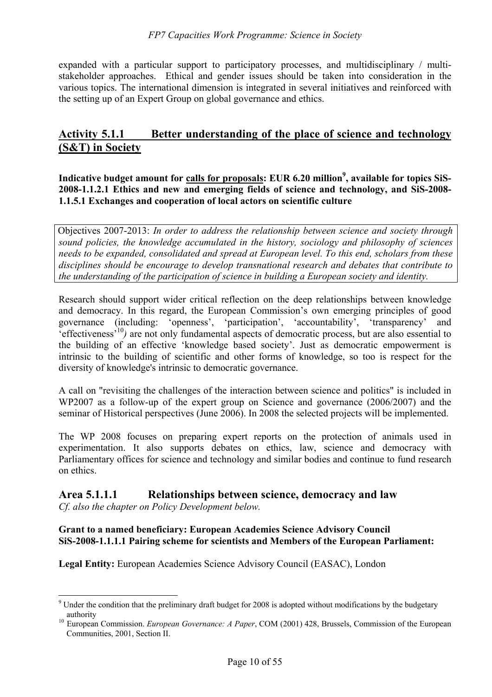expanded with a particular support to participatory processes, and multidisciplinary / multistakeholder approaches. Ethical and gender issues should be taken into consideration in the various topics. The international dimension is integrated in several initiatives and reinforced with the setting up of an Expert Group on global governance and ethics.

# **Activity 5.1.1 Better understanding of the place of science and technology (S&T) in Society**

Indicative budget amount for <u>calls for proposals</u>: EUR 6.20 million<sup>9</sup>, available for topics SiS-**2008-1.1.2.1 Ethics and new and emerging fields of science and technology, and SiS-2008- 1.1.5.1 Exchanges and cooperation of local actors on scientific culture** 

Objectives 2007-2013: *In order to address the relationship between science and society through sound policies, the knowledge accumulated in the history, sociology and philosophy of sciences needs to be expanded, consolidated and spread at European level. To this end, scholars from these disciplines should be encourage to develop transnational research and debates that contribute to the understanding of the participation of science in building a European society and identity.*

Research should support wider critical reflection on the deep relationships between knowledge and democracy. In this regard, the European Commission's own emerging principles of good governance (including: 'openness', 'participation', 'accountability', 'transparency' and 'effectiveness'10*)* are not only fundamental aspects of democratic process, but are also essential to the building of an effective 'knowledge based society'. Just as democratic empowerment is intrinsic to the building of scientific and other forms of knowledge, so too is respect for the diversity of knowledge's intrinsic to democratic governance.

A call on "revisiting the challenges of the interaction between science and politics" is included in WP2007 as a follow-up of the expert group on Science and governance (2006/2007) and the seminar of Historical perspectives (June 2006). In 2008 the selected projects will be implemented.

The WP 2008 focuses on preparing expert reports on the protection of animals used in experimentation. It also supports debates on ethics, law, science and democracy with Parliamentary offices for science and technology and similar bodies and continue to fund research on ethics.

# **Area 5.1.1.1 Relationships between science, democracy and law**

*Cf. also the chapter on Policy Development below.* 

#### **Grant to a named beneficiary: European Academies Science Advisory Council SiS-2008-1.1.1.1 Pairing scheme for scientists and Members of the European Parliament:**

**Legal Entity:** European Academies Science Advisory Council (EASAC), London

 $\overline{a}$  $9$  Under the condition that the preliminary draft budget for 2008 is adopted without modifications by the budgetary

authority<br><sup>10</sup> European Commission. *European Governance: A Paper*, COM (2001) 428, Brussels, Commission of the European Communities, 2001, Section II.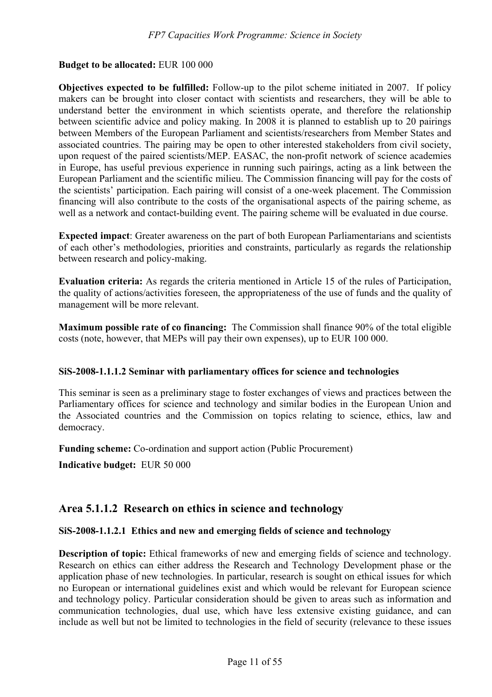#### **Budget to be allocated:** EUR 100 000

**Objectives expected to be fulfilled:** Follow-up to the pilot scheme initiated in 2007. If policy makers can be brought into closer contact with scientists and researchers, they will be able to understand better the environment in which scientists operate, and therefore the relationship between scientific advice and policy making. In 2008 it is planned to establish up to 20 pairings between Members of the European Parliament and scientists/researchers from Member States and associated countries. The pairing may be open to other interested stakeholders from civil society, upon request of the paired scientists/MEP. EASAC, the non-profit network of science academies in Europe, has useful previous experience in running such pairings, acting as a link between the European Parliament and the scientific milieu. The Commission financing will pay for the costs of the scientists' participation. Each pairing will consist of a one-week placement. The Commission financing will also contribute to the costs of the organisational aspects of the pairing scheme, as well as a network and contact-building event. The pairing scheme will be evaluated in due course.

**Expected impact**: Greater awareness on the part of both European Parliamentarians and scientists of each other's methodologies, priorities and constraints, particularly as regards the relationship between research and policy-making.

**Evaluation criteria:** As regards the criteria mentioned in Article 15 of the rules of Participation, the quality of actions/activities foreseen, the appropriateness of the use of funds and the quality of management will be more relevant.

**Maximum possible rate of co financing:** The Commission shall finance 90% of the total eligible costs (note, however, that MEPs will pay their own expenses), up to EUR 100 000.

#### **SiS-2008-1.1.1.2 Seminar with parliamentary offices for science and technologies**

This seminar is seen as a preliminary stage to foster exchanges of views and practices between the Parliamentary offices for science and technology and similar bodies in the European Union and the Associated countries and the Commission on topics relating to science, ethics, law and democracy.

**Funding scheme:** Co-ordination and support action (Public Procurement)

**Indicative budget:** EUR 50 000

# **Area 5.1.1.2 Research on ethics in science and technology**

#### **SiS-2008-1.1.2.1 Ethics and new and emerging fields of science and technology**

**Description of topic:** Ethical frameworks of new and emerging fields of science and technology. Research on ethics can either address the Research and Technology Development phase or the application phase of new technologies. In particular, research is sought on ethical issues for which no European or international guidelines exist and which would be relevant for European science and technology policy. Particular consideration should be given to areas such as information and communication technologies, dual use, which have less extensive existing guidance, and can include as well but not be limited to technologies in the field of security (relevance to these issues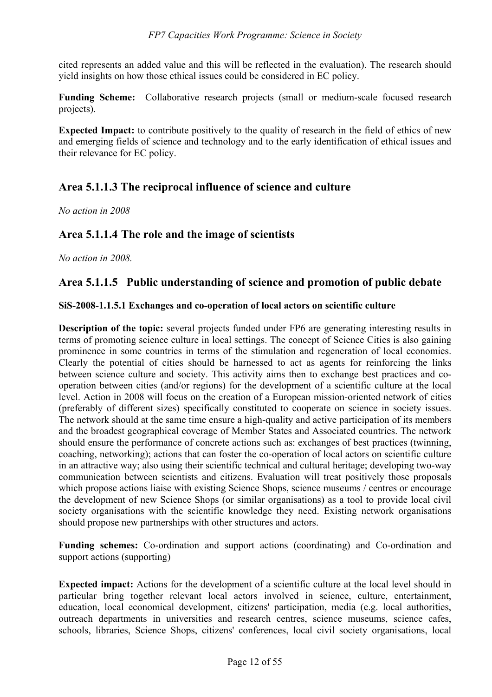cited represents an added value and this will be reflected in the evaluation). The research should yield insights on how those ethical issues could be considered in EC policy.

**Funding Scheme:** Collaborative research projects (small or medium-scale focused research projects).

**Expected Impact:** to contribute positively to the quality of research in the field of ethics of new and emerging fields of science and technology and to the early identification of ethical issues and their relevance for EC policy.

# **Area 5.1.1.3 The reciprocal influence of science and culture**

*No action in 2008* 

# **Area 5.1.1.4 The role and the image of scientists**

*No action in 2008.* 

# **Area 5.1.1.5 Public understanding of science and promotion of public debate**

### **SiS-2008-1.1.5.1 Exchanges and co-operation of local actors on scientific culture**

**Description of the topic:** several projects funded under FP6 are generating interesting results in terms of promoting science culture in local settings. The concept of Science Cities is also gaining prominence in some countries in terms of the stimulation and regeneration of local economies. Clearly the potential of cities should be harnessed to act as agents for reinforcing the links between science culture and society. This activity aims then to exchange best practices and cooperation between cities (and/or regions) for the development of a scientific culture at the local level. Action in 2008 will focus on the creation of a European mission-oriented network of cities (preferably of different sizes) specifically constituted to cooperate on science in society issues. The network should at the same time ensure a high-quality and active participation of its members and the broadest geographical coverage of Member States and Associated countries. The network should ensure the performance of concrete actions such as: exchanges of best practices (twinning, coaching, networking); actions that can foster the co-operation of local actors on scientific culture in an attractive way; also using their scientific technical and cultural heritage; developing two-way communication between scientists and citizens. Evaluation will treat positively those proposals which propose actions liaise with existing Science Shops, science museums / centres or encourage the development of new Science Shops (or similar organisations) as a tool to provide local civil society organisations with the scientific knowledge they need. Existing network organisations should propose new partnerships with other structures and actors.

**Funding schemes:** Co-ordination and support actions (coordinating) and Co-ordination and support actions (supporting)

**Expected impact:** Actions for the development of a scientific culture at the local level should in particular bring together relevant local actors involved in science, culture, entertainment, education, local economical development, citizens' participation, media (e.g. local authorities, outreach departments in universities and research centres, science museums, science cafes, schools, libraries, Science Shops, citizens' conferences, local civil society organisations, local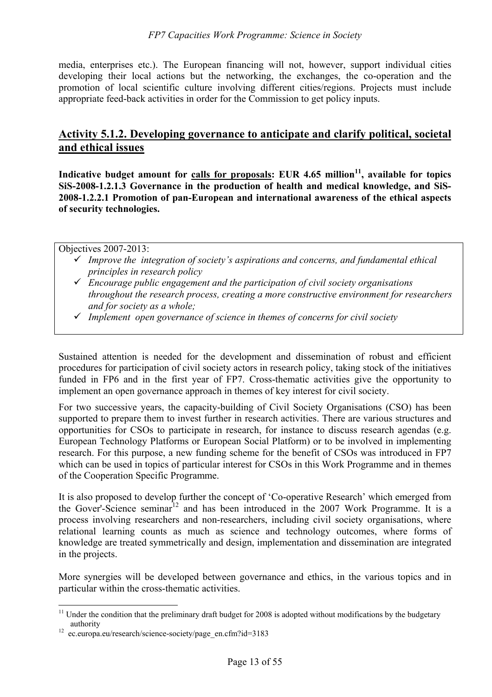media, enterprises etc.). The European financing will not, however, support individual cities developing their local actions but the networking, the exchanges, the co-operation and the promotion of local scientific culture involving different cities/regions. Projects must include appropriate feed-back activities in order for the Commission to get policy inputs.

# **Activity 5.1.2. Developing governance to anticipate and clarify political, societal and ethical issues**

Indicative budget amount for calls for proposals: EUR 4.65 million<sup>11</sup>, available for topics **SiS-2008-1.2.1.3 Governance in the production of health and medical knowledge, and SiS-2008-1.2.2.1 Promotion of pan-European and international awareness of the ethical aspects of security technologies.** 

Objectives 2007-2013:

- 9 *Improve the integration of society's aspirations and concerns, and fundamental ethical principles in research policy*
- 9 *Encourage public engagement and the participation of civil society organisations throughout the research process, creating a more constructive environment for researchers and for society as a whole;*
- 9 *Implement open governance of science in themes of concerns for civil society*

Sustained attention is needed for the development and dissemination of robust and efficient procedures for participation of civil society actors in research policy, taking stock of the initiatives funded in FP6 and in the first year of FP7. Cross-thematic activities give the opportunity to implement an open governance approach in themes of key interest for civil society.

For two successive years, the capacity-building of Civil Society Organisations (CSO) has been supported to prepare them to invest further in research activities. There are various structures and opportunities for CSOs to participate in research, for instance to discuss research agendas (e.g. European Technology Platforms or European Social Platform) or to be involved in implementing research. For this purpose, a new funding scheme for the benefit of CSOs was introduced in FP7 which can be used in topics of particular interest for CSOs in this Work Programme and in themes of the Cooperation Specific Programme.

It is also proposed to develop further the concept of 'Co-operative Research' which emerged from the Gover'-Science seminar<sup>12</sup> and has been introduced in the 2007 Work Programme. It is a process involving researchers and non-researchers, including civil society organisations, where relational learning counts as much as science and technology outcomes, where forms of knowledge are treated symmetrically and design, implementation and dissemination are integrated in the projects.

More synergies will be developed between governance and ethics, in the various topics and in particular within the cross-thematic activities.

 $\overline{a}$ 

 $11$  Under the condition that the preliminary draft budget for 2008 is adopted without modifications by the budgetary authority<br><sup>12</sup> ec.europa.eu/research/science-society/page\_en.cfm?id=3183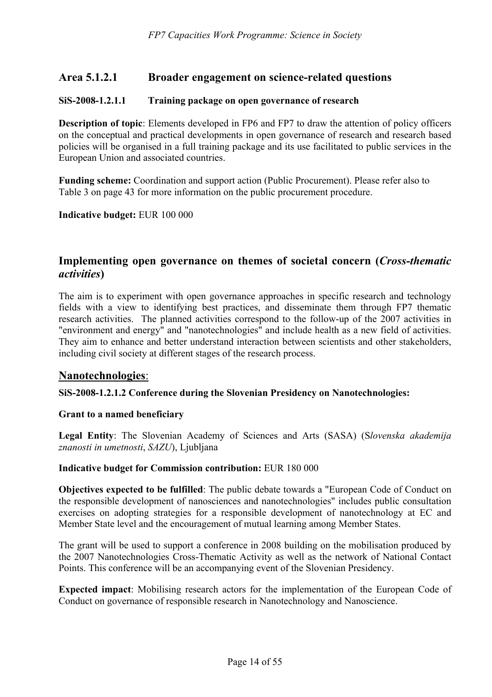# **Area 5.1.2.1 Broader engagement on science-related questions**

### **SiS-2008-1.2.1.1 Training package on open governance of research**

**Description of topic**: Elements developed in FP6 and FP7 to draw the attention of policy officers on the conceptual and practical developments in open governance of research and research based policies will be organised in a full training package and its use facilitated to public services in the European Union and associated countries.

**Funding scheme:** Coordination and support action (Public Procurement). Please refer also to Table 3 on page 43 for more information on the public procurement procedure.

**Indicative budget:** EUR 100 000

# **Implementing open governance on themes of societal concern (***Cross-thematic activities***)**

The aim is to experiment with open governance approaches in specific research and technology fields with a view to identifying best practices, and disseminate them through FP7 thematic research activities. The planned activities correspond to the follow-up of the 2007 activities in "environment and energy" and "nanotechnologies" and include health as a new field of activities. They aim to enhance and better understand interaction between scientists and other stakeholders, including civil society at different stages of the research process.

### **Nanotechnologies**:

#### **SiS-2008-1.2.1.2 Conference during the Slovenian Presidency on Nanotechnologies:**

#### **Grant to a named beneficiary**

**Legal Entity**: The Slovenian Academy of Sciences and Arts (SASA) (S*lovenska akademija znanosti in umetnosti*, *SAZU*), Ljubljana

#### **Indicative budget for Commission contribution:** EUR 180 000

**Objectives expected to be fulfilled**: The public debate towards a "European Code of Conduct on the responsible development of nanosciences and nanotechnologies" includes public consultation exercises on adopting strategies for a responsible development of nanotechnology at EC and Member State level and the encouragement of mutual learning among Member States.

The grant will be used to support a conference in 2008 building on the mobilisation produced by the 2007 Nanotechnologies Cross-Thematic Activity as well as the network of National Contact Points. This conference will be an accompanying event of the Slovenian Presidency.

**Expected impact**: Mobilising research actors for the implementation of the European Code of Conduct on governance of responsible research in Nanotechnology and Nanoscience.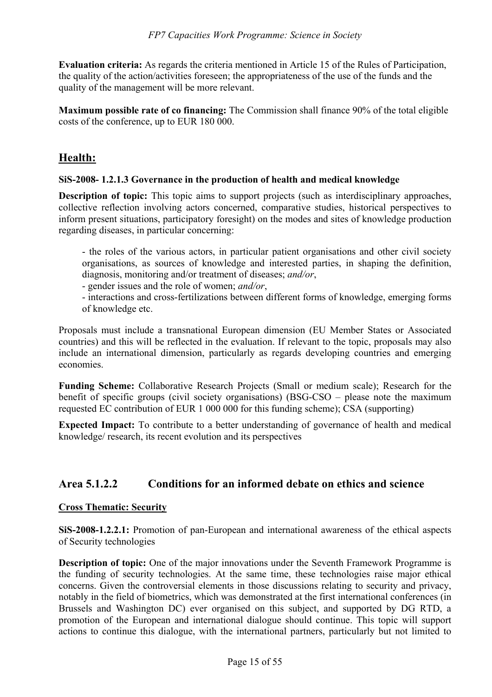**Evaluation criteria:** As regards the criteria mentioned in Article 15 of the Rules of Participation, the quality of the action/activities foreseen; the appropriateness of the use of the funds and the quality of the management will be more relevant.

**Maximum possible rate of co financing:** The Commission shall finance 90% of the total eligible costs of the conference, up to EUR 180 000.

# **Health:**

# **SiS-2008- 1.2.1.3 Governance in the production of health and medical knowledge**

**Description of topic:** This topic aims to support projects (such as interdisciplinary approaches, collective reflection involving actors concerned, comparative studies, historical perspectives to inform present situations, participatory foresight) on the modes and sites of knowledge production regarding diseases, in particular concerning:

- the roles of the various actors, in particular patient organisations and other civil society organisations, as sources of knowledge and interested parties, in shaping the definition, diagnosis, monitoring and/or treatment of diseases; *and/or*,

- gender issues and the role of women; *and/or*,
- interactions and cross-fertilizations between different forms of knowledge, emerging forms of knowledge etc.

Proposals must include a transnational European dimension (EU Member States or Associated countries) and this will be reflected in the evaluation. If relevant to the topic, proposals may also include an international dimension, particularly as regards developing countries and emerging economies.

**Funding Scheme:** Collaborative Research Projects (Small or medium scale); Research for the benefit of specific groups (civil society organisations) (BSG-CSO – please note the maximum requested EC contribution of EUR 1 000 000 for this funding scheme); CSA (supporting)

**Expected Impact:** To contribute to a better understanding of governance of health and medical knowledge/ research, its recent evolution and its perspectives

# **Area 5.1.2.2 Conditions for an informed debate on ethics and science**

# **Cross Thematic: Security**

**SiS-2008-1.2.2.1:** Promotion of pan-European and international awareness of the ethical aspects of Security technologies

**Description of topic:** One of the major innovations under the Seventh Framework Programme is the funding of security technologies. At the same time, these technologies raise major ethical concerns. Given the controversial elements in those discussions relating to security and privacy, notably in the field of biometrics, which was demonstrated at the first international conferences (in Brussels and Washington DC) ever organised on this subject, and supported by DG RTD, a promotion of the European and international dialogue should continue. This topic will support actions to continue this dialogue, with the international partners, particularly but not limited to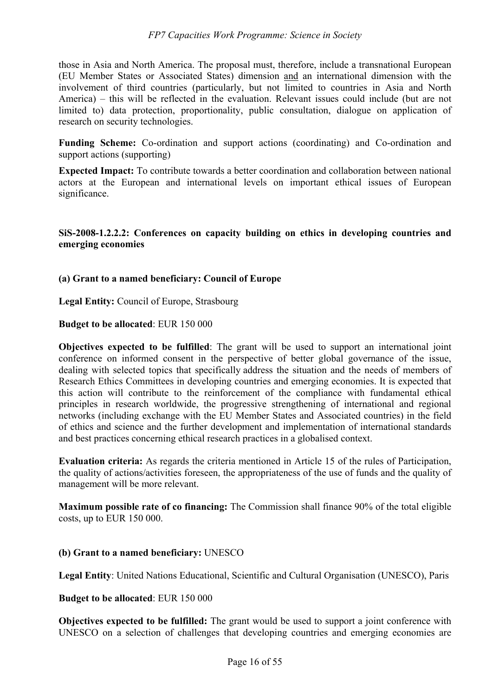those in Asia and North America. The proposal must, therefore, include a transnational European (EU Member States or Associated States) dimension and an international dimension with the involvement of third countries (particularly, but not limited to countries in Asia and North America) – this will be reflected in the evaluation. Relevant issues could include (but are not limited to) data protection, proportionality, public consultation, dialogue on application of research on security technologies.

**Funding Scheme:** Co-ordination and support actions (coordinating) and Co-ordination and support actions (supporting)

**Expected Impact:** To contribute towards a better coordination and collaboration between national actors at the European and international levels on important ethical issues of European significance.

### **SiS-2008-1.2.2.2: Conferences on capacity building on ethics in developing countries and emerging economies**

# **(a) Grant to a named beneficiary: Council of Europe**

**Legal Entity:** Council of Europe, Strasbourg

#### **Budget to be allocated**: EUR 150 000

**Objectives expected to be fulfilled**: The grant will be used to support an international joint conference on informed consent in the perspective of better global governance of the issue, dealing with selected topics that specifically address the situation and the needs of members of Research Ethics Committees in developing countries and emerging economies. It is expected that this action will contribute to the reinforcement of the compliance with fundamental ethical principles in research worldwide, the progressive strengthening of international and regional networks (including exchange with the EU Member States and Associated countries) in the field of ethics and science and the further development and implementation of international standards and best practices concerning ethical research practices in a globalised context.

**Evaluation criteria:** As regards the criteria mentioned in Article 15 of the rules of Participation, the quality of actions/activities foreseen, the appropriateness of the use of funds and the quality of management will be more relevant.

**Maximum possible rate of co financing:** The Commission shall finance 90% of the total eligible costs, up to EUR 150 000.

### **(b) Grant to a named beneficiary:** UNESCO

**Legal Entity**: United Nations Educational, Scientific and Cultural Organisation (UNESCO), Paris

#### **Budget to be allocated**: EUR 150 000

**Objectives expected to be fulfilled:** The grant would be used to support a joint conference with UNESCO on a selection of challenges that developing countries and emerging economies are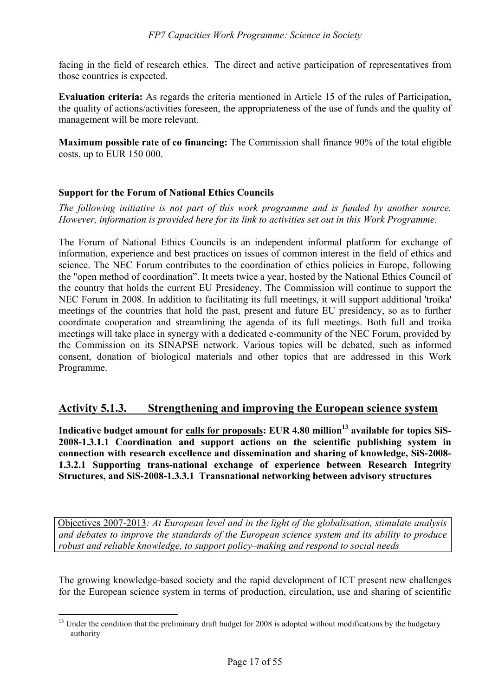facing in the field of research ethics. The direct and active participation of representatives from those countries is expected.

**Evaluation criteria:** As regards the criteria mentioned in Article 15 of the rules of Participation, the quality of actions/activities foreseen, the appropriateness of the use of funds and the quality of management will be more relevant.

**Maximum possible rate of co financing:** The Commission shall finance 90% of the total eligible costs, up to EUR 150 000.

### **Support for the Forum of National Ethics Councils**

*The following initiative is not part of this work programme and is funded by another source. However, information is provided here for its link to activities set out in this Work Programme.* 

The Forum of National Ethics Councils is an independent informal platform for exchange of information, experience and best practices on issues of common interest in the field of ethics and science. The NEC Forum contributes to the coordination of ethics policies in Europe, following the "open method of coordination". It meets twice a year, hosted by the National Ethics Council of the country that holds the current EU Presidency. The Commission will continue to support the NEC Forum in 2008. In addition to facilitating its full meetings, it will support additional 'troika' meetings of the countries that hold the past, present and future EU presidency, so as to further coordinate cooperation and streamlining the agenda of its full meetings. Both full and troika meetings will take place in synergy with a dedicated e-community of the NEC Forum, provided by the Commission on its SINAPSE network. Various topics will be debated, such as informed consent, donation of biological materials and other topics that are addressed in this Work Programme.

# **Activity 5.1.3. Strengthening and improving the European science system**

Indicative budget amount for calls for proposals: EUR 4.80 million<sup>13</sup> available for topics SiS-**2008-1.3.1.1 Coordination and support actions on the scientific publishing system in connection with research excellence and dissemination and sharing of knowledge, SiS-2008- 1.3.2.1 Supporting trans-national exchange of experience between Research Integrity Structures, and SiS-2008-1.3.3.1 Transnational networking between advisory structures** 

Objectives 2007-2013*: At European level and in the light of the globalisation, stimulate analysis and debates to improve the standards of the European science system and its ability to produce robust and reliable knowledge, to support policy–making and respond to social needs* 

The growing knowledge-based society and the rapid development of ICT present new challenges for the European science system in terms of production, circulation, use and sharing of scientific

 $\overline{a}$ <sup>13</sup> Under the condition that the preliminary draft budget for 2008 is adopted without modifications by the budgetary authority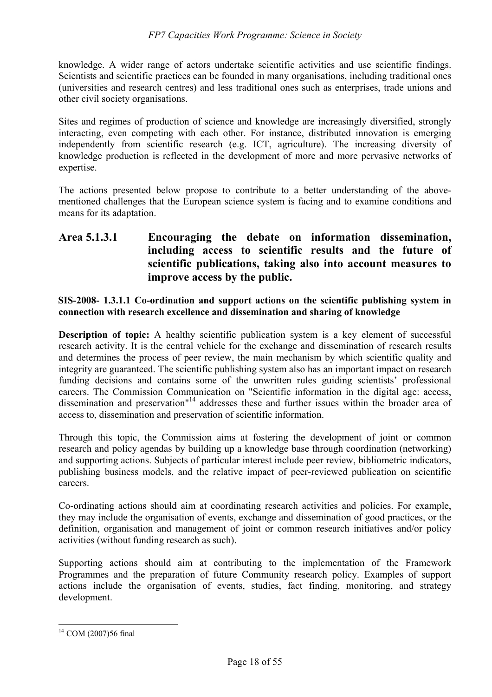knowledge. A wider range of actors undertake scientific activities and use scientific findings. Scientists and scientific practices can be founded in many organisations, including traditional ones (universities and research centres) and less traditional ones such as enterprises, trade unions and other civil society organisations.

Sites and regimes of production of science and knowledge are increasingly diversified, strongly interacting, even competing with each other. For instance, distributed innovation is emerging independently from scientific research (e.g. ICT, agriculture). The increasing diversity of knowledge production is reflected in the development of more and more pervasive networks of expertise.

The actions presented below propose to contribute to a better understanding of the abovementioned challenges that the European science system is facing and to examine conditions and means for its adaptation.

# **Area 5.1.3.1 Encouraging the debate on information dissemination, including access to scientific results and the future of scientific publications, taking also into account measures to improve access by the public.**

### **SIS-2008- 1.3.1.1 Co-ordination and support actions on the scientific publishing system in connection with research excellence and dissemination and sharing of knowledge**

**Description of topic:** A healthy scientific publication system is a key element of successful research activity. It is the central vehicle for the exchange and dissemination of research results and determines the process of peer review, the main mechanism by which scientific quality and integrity are guaranteed. The scientific publishing system also has an important impact on research funding decisions and contains some of the unwritten rules guiding scientists' professional careers. The Commission Communication on "Scientific information in the digital age: access, dissemination and preservation<sup>"14</sup> addresses these and further issues within the broader area of access to, dissemination and preservation of scientific information.

Through this topic, the Commission aims at fostering the development of joint or common research and policy agendas by building up a knowledge base through coordination (networking) and supporting actions. Subjects of particular interest include peer review, bibliometric indicators, publishing business models, and the relative impact of peer-reviewed publication on scientific careers.

Co-ordinating actions should aim at coordinating research activities and policies. For example, they may include the organisation of events, exchange and dissemination of good practices, or the definition, organisation and management of joint or common research initiatives and/or policy activities (without funding research as such).

Supporting actions should aim at contributing to the implementation of the Framework Programmes and the preparation of future Community research policy. Examples of support actions include the organisation of events, studies, fact finding, monitoring, and strategy development.

 $\overline{a}$  $14$  COM (2007)56 final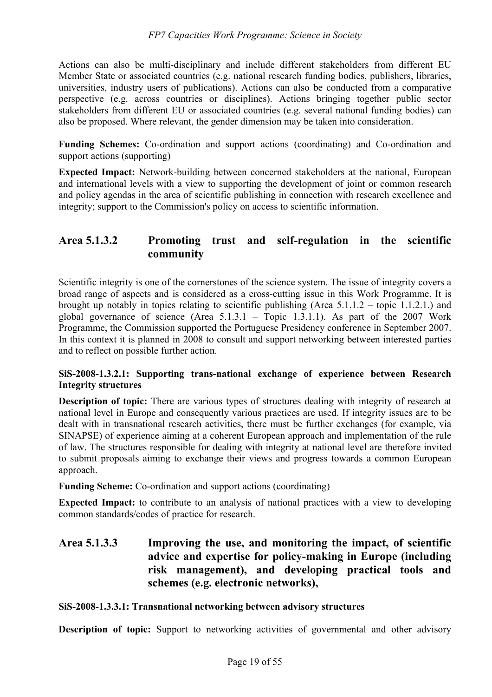Actions can also be multi-disciplinary and include different stakeholders from different EU Member State or associated countries (e.g. national research funding bodies, publishers, libraries, universities, industry users of publications). Actions can also be conducted from a comparative perspective (e.g. across countries or disciplines). Actions bringing together public sector stakeholders from different EU or associated countries (e.g. several national funding bodies) can also be proposed. Where relevant, the gender dimension may be taken into consideration.

**Funding Schemes:** Co-ordination and support actions (coordinating) and Co-ordination and support actions (supporting)

**Expected Impact:** Network-building between concerned stakeholders at the national, European and international levels with a view to supporting the development of joint or common research and policy agendas in the area of scientific publishing in connection with research excellence and integrity; support to the Commission's policy on access to scientific information.

# **Area 5.1.3.2 Promoting trust and self-regulation in the scientific community**

Scientific integrity is one of the cornerstones of the science system. The issue of integrity covers a broad range of aspects and is considered as a cross-cutting issue in this Work Programme. It is brought up notably in topics relating to scientific publishing (Area 5.1.1.2 – topic 1.1.2.1.) and global governance of science (Area 5.1.3.1 – Topic 1.3.1.1). As part of the 2007 Work Programme, the Commission supported the Portuguese Presidency conference in September 2007. In this context it is planned in 2008 to consult and support networking between interested parties and to reflect on possible further action.

# **SiS-2008-1.3.2.1: Supporting trans-national exchange of experience between Research Integrity structures**

**Description of topic:** There are various types of structures dealing with integrity of research at national level in Europe and consequently various practices are used. If integrity issues are to be dealt with in transnational research activities, there must be further exchanges (for example, via SINAPSE) of experience aiming at a coherent European approach and implementation of the rule of law. The structures responsible for dealing with integrity at national level are therefore invited to submit proposals aiming to exchange their views and progress towards a common European approach.

**Funding Scheme:** Co-ordination and support actions (coordinating)

**Expected Impact:** to contribute to an analysis of national practices with a view to developing common standards/codes of practice for research.

# **Area 5.1.3.3 Improving the use, and monitoring the impact, of scientific advice and expertise for policy-making in Europe (including risk management), and developing practical tools and schemes (e.g. electronic networks),**

### **SiS-2008-1.3.3.1: Transnational networking between advisory structures**

**Description of topic:** Support to networking activities of governmental and other advisory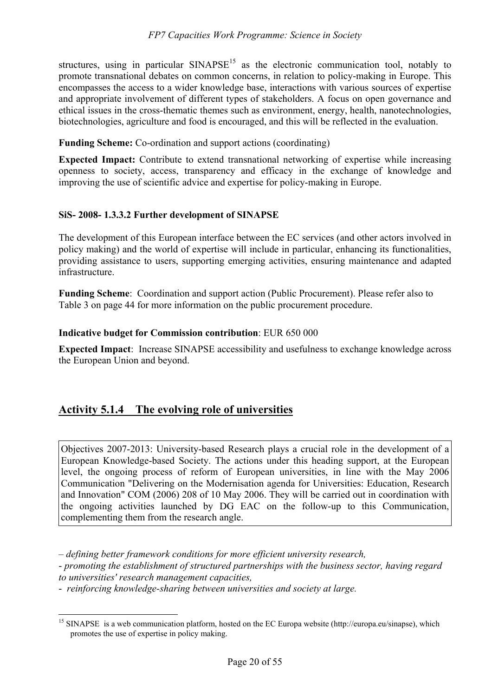structures, using in particular  $SINAPSE<sup>15</sup>$  as the electronic communication tool, notably to promote transnational debates on common concerns, in relation to policy-making in Europe. This encompasses the access to a wider knowledge base, interactions with various sources of expertise and appropriate involvement of different types of stakeholders. A focus on open governance and ethical issues in the cross-thematic themes such as environment, energy, health, nanotechnologies, biotechnologies, agriculture and food is encouraged, and this will be reflected in the evaluation.

**Funding Scheme:** Co-ordination and support actions (coordinating)

**Expected Impact:** Contribute to extend transnational networking of expertise while increasing openness to society, access, transparency and efficacy in the exchange of knowledge and improving the use of scientific advice and expertise for policy-making in Europe.

### **SiS- 2008- 1.3.3.2 Further development of SINAPSE**

The development of this European interface between the EC services (and other actors involved in policy making) and the world of expertise will include in particular, enhancing its functionalities, providing assistance to users, supporting emerging activities, ensuring maintenance and adapted infrastructure.

**Funding Scheme**: Coordination and support action (Public Procurement). Please refer also to Table 3 on page 44 for more information on the public procurement procedure.

#### **Indicative budget for Commission contribution**: EUR 650 000

**Expected Impact**: Increase SINAPSE accessibility and usefulness to exchange knowledge across the European Union and beyond.

# **Activity 5.1.4 The evolving role of universities**

Objectives 2007-2013: University-based Research plays a crucial role in the development of a European Knowledge-based Society. The actions under this heading support, at the European level, the ongoing process of reform of European universities, in line with the May 2006 Communication "Delivering on the Modernisation agenda for Universities: Education, Research and Innovation" COM (2006) 208 of 10 May 2006. They will be carried out in coordination with the ongoing activities launched by DG EAC on the follow-up to this Communication, complementing them from the research angle.

*– defining better framework conditions for more efficient university research,*  - *promoting the establishment of structured partnerships with the business sector, having regard to universities' research management capacities,*

- *reinforcing knowledge-sharing between universities and society at large.*

 $\overline{a}$ 

<sup>&</sup>lt;sup>15</sup> SINAPSE is a web communication platform, hosted on the EC Europa website (http://europa.eu/sinapse), which promotes the use of expertise in policy making.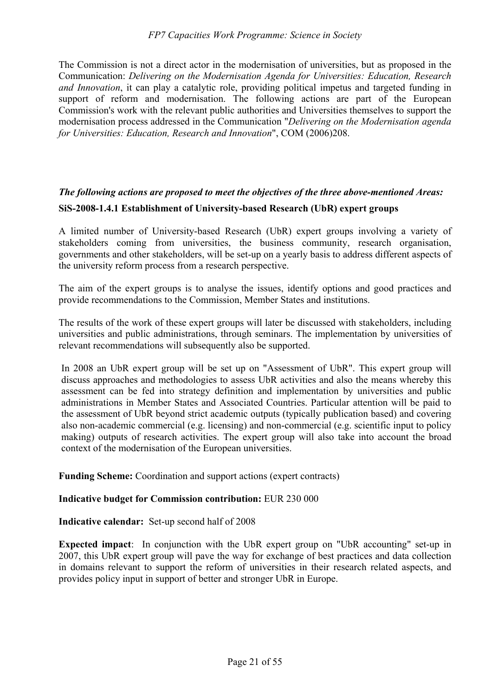#### *FP7 Capacities Work Programme: Science in Society*

The Commission is not a direct actor in the modernisation of universities, but as proposed in the Communication: *Delivering on the Modernisation Agenda for Universities: Education, Research and Innovation*, it can play a catalytic role, providing political impetus and targeted funding in support of reform and modernisation. The following actions are part of the European Commission's work with the relevant public authorities and Universities themselves to support the modernisation process addressed in the Communication "*Delivering on the Modernisation agenda for Universities: Education, Research and Innovation*", COM (2006)208.

# *The following actions are proposed to meet the objectives of the three above-mentioned Areas:*  **SiS-2008-1.4.1 Establishment of University-based Research (UbR) expert groups**

A limited number of University-based Research (UbR) expert groups involving a variety of stakeholders coming from universities, the business community, research organisation, governments and other stakeholders, will be set-up on a yearly basis to address different aspects of the university reform process from a research perspective.

The aim of the expert groups is to analyse the issues, identify options and good practices and provide recommendations to the Commission, Member States and institutions.

The results of the work of these expert groups will later be discussed with stakeholders, including universities and public administrations, through seminars. The implementation by universities of relevant recommendations will subsequently also be supported.

In 2008 an UbR expert group will be set up on "Assessment of UbR". This expert group will discuss approaches and methodologies to assess UbR activities and also the means whereby this assessment can be fed into strategy definition and implementation by universities and public administrations in Member States and Associated Countries. Particular attention will be paid to the assessment of UbR beyond strict academic outputs (typically publication based) and covering also non-academic commercial (e.g. licensing) and non-commercial (e.g. scientific input to policy making) outputs of research activities. The expert group will also take into account the broad context of the modernisation of the European universities.

**Funding Scheme:** Coordination and support actions (expert contracts)

#### **Indicative budget for Commission contribution:** EUR 230 000

**Indicative calendar:** Set-up second half of 2008

**Expected impact**: In conjunction with the UbR expert group on "UbR accounting" set-up in 2007, this UbR expert group will pave the way for exchange of best practices and data collection in domains relevant to support the reform of universities in their research related aspects, and provides policy input in support of better and stronger UbR in Europe.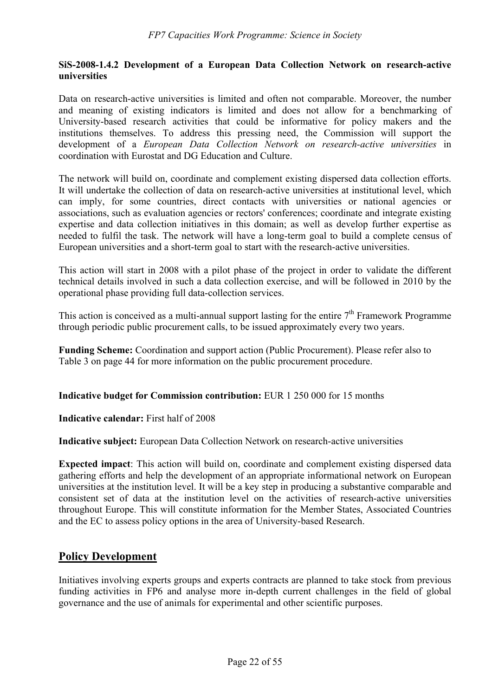### **SiS-2008-1.4.2 Development of a European Data Collection Network on research-active universities**

Data on research-active universities is limited and often not comparable. Moreover, the number and meaning of existing indicators is limited and does not allow for a benchmarking of University-based research activities that could be informative for policy makers and the institutions themselves. To address this pressing need, the Commission will support the development of a *European Data Collection Network on research-active universities* in coordination with Eurostat and DG Education and Culture.

The network will build on, coordinate and complement existing dispersed data collection efforts. It will undertake the collection of data on research-active universities at institutional level, which can imply, for some countries, direct contacts with universities or national agencies or associations, such as evaluation agencies or rectors' conferences; coordinate and integrate existing expertise and data collection initiatives in this domain; as well as develop further expertise as needed to fulfil the task. The network will have a long-term goal to build a complete census of European universities and a short-term goal to start with the research-active universities.

This action will start in 2008 with a pilot phase of the project in order to validate the different technical details involved in such a data collection exercise, and will be followed in 2010 by the operational phase providing full data-collection services.

This action is conceived as a multi-annual support lasting for the entire  $7<sup>th</sup>$  Framework Programme through periodic public procurement calls, to be issued approximately every two years.

**Funding Scheme:** Coordination and support action (Public Procurement). Please refer also to Table 3 on page 44 for more information on the public procurement procedure.

**Indicative budget for Commission contribution:** EUR 1 250 000 for 15 months

**Indicative calendar:** First half of 2008

**Indicative subject:** European Data Collection Network on research-active universities

**Expected impact**: This action will build on, coordinate and complement existing dispersed data gathering efforts and help the development of an appropriate informational network on European universities at the institution level. It will be a key step in producing a substantive comparable and consistent set of data at the institution level on the activities of research-active universities throughout Europe. This will constitute information for the Member States, Associated Countries and the EC to assess policy options in the area of University-based Research.

# **Policy Development**

Initiatives involving experts groups and experts contracts are planned to take stock from previous funding activities in FP6 and analyse more in-depth current challenges in the field of global governance and the use of animals for experimental and other scientific purposes.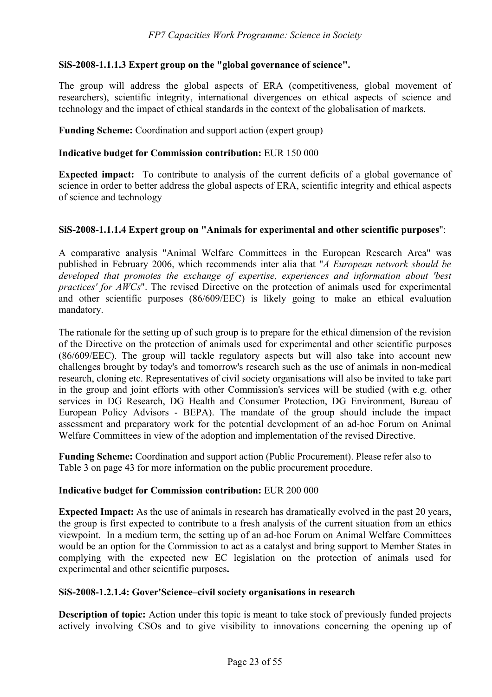# **SiS-2008-1.1.1.3 Expert group on the "global governance of science".**

The group will address the global aspects of ERA (competitiveness, global movement of researchers), scientific integrity, international divergences on ethical aspects of science and technology and the impact of ethical standards in the context of the globalisation of markets.

**Funding Scheme:** Coordination and support action (expert group)

#### **Indicative budget for Commission contribution:** EUR 150 000

**Expected impact:** To contribute to analysis of the current deficits of a global governance of science in order to better address the global aspects of ERA, scientific integrity and ethical aspects of science and technology

#### **SiS-2008-1.1.1.4 Expert group on "Animals for experimental and other scientific purposes**":

A comparative analysis "Animal Welfare Committees in the European Research Area" was published in February 2006, which recommends inter alia that "*A European network should be developed that promotes the exchange of expertise, experiences and information about 'best practices' for AWCs*". The revised Directive on the protection of animals used for experimental and other scientific purposes (86/609/EEC) is likely going to make an ethical evaluation mandatory.

The rationale for the setting up of such group is to prepare for the ethical dimension of the revision of the Directive on the protection of animals used for experimental and other scientific purposes (86/609/EEC). The group will tackle regulatory aspects but will also take into account new challenges brought by today's and tomorrow's research such as the use of animals in non-medical research, cloning etc. Representatives of civil society organisations will also be invited to take part in the group and joint efforts with other Commission's services will be studied (with e.g. other services in DG Research, DG Health and Consumer Protection, DG Environment, Bureau of European Policy Advisors - BEPA). The mandate of the group should include the impact assessment and preparatory work for the potential development of an ad-hoc Forum on Animal Welfare Committees in view of the adoption and implementation of the revised Directive.

**Funding Scheme:** Coordination and support action (Public Procurement). Please refer also to Table 3 on page 43 for more information on the public procurement procedure.

#### **Indicative budget for Commission contribution:** EUR 200 000

**Expected Impact:** As the use of animals in research has dramatically evolved in the past 20 years, the group is first expected to contribute to a fresh analysis of the current situation from an ethics viewpoint. In a medium term, the setting up of an ad-hoc Forum on Animal Welfare Committees would be an option for the Commission to act as a catalyst and bring support to Member States in complying with the expected new EC legislation on the protection of animals used for experimental and other scientific purposes**.** 

#### **SiS-2008-1.2.1.4: Gover'Science–civil society organisations in research**

**Description of topic:** Action under this topic is meant to take stock of previously funded projects actively involving CSOs and to give visibility to innovations concerning the opening up of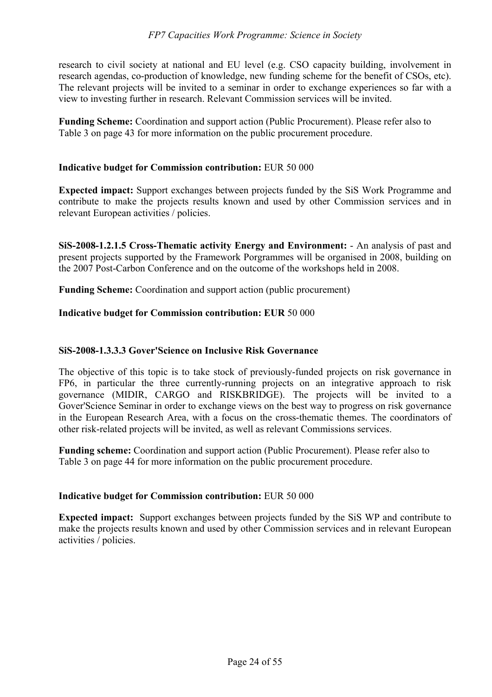research to civil society at national and EU level (e.g. CSO capacity building, involvement in research agendas, co-production of knowledge, new funding scheme for the benefit of CSOs, etc). The relevant projects will be invited to a seminar in order to exchange experiences so far with a view to investing further in research. Relevant Commission services will be invited.

**Funding Scheme:** Coordination and support action (Public Procurement). Please refer also to Table 3 on page 43 for more information on the public procurement procedure.

#### **Indicative budget for Commission contribution:** EUR 50 000

**Expected impact:** Support exchanges between projects funded by the SiS Work Programme and contribute to make the projects results known and used by other Commission services and in relevant European activities / policies.

**SiS-2008-1.2.1.5 Cross-Thematic activity Energy and Environment:** - An analysis of past and present projects supported by the Framework Porgrammes will be organised in 2008, building on the 2007 Post-Carbon Conference and on the outcome of the workshops held in 2008.

**Funding Scheme:** Coordination and support action (public procurement)

#### **Indicative budget for Commission contribution: EUR** 50 000

### **SiS-2008-1.3.3.3 Gover'Science on Inclusive Risk Governance**

The objective of this topic is to take stock of previously-funded projects on risk governance in FP6, in particular the three currently-running projects on an integrative approach to risk governance (MIDIR, CARGO and RISKBRIDGE). The projects will be invited to a Gover'Science Seminar in order to exchange views on the best way to progress on risk governance in the European Research Area, with a focus on the cross-thematic themes. The coordinators of other risk-related projects will be invited, as well as relevant Commissions services.

**Funding scheme:** Coordination and support action (Public Procurement). Please refer also to Table 3 on page 44 for more information on the public procurement procedure.

#### **Indicative budget for Commission contribution:** EUR 50 000

**Expected impact:** Support exchanges between projects funded by the SiS WP and contribute to make the projects results known and used by other Commission services and in relevant European activities / policies.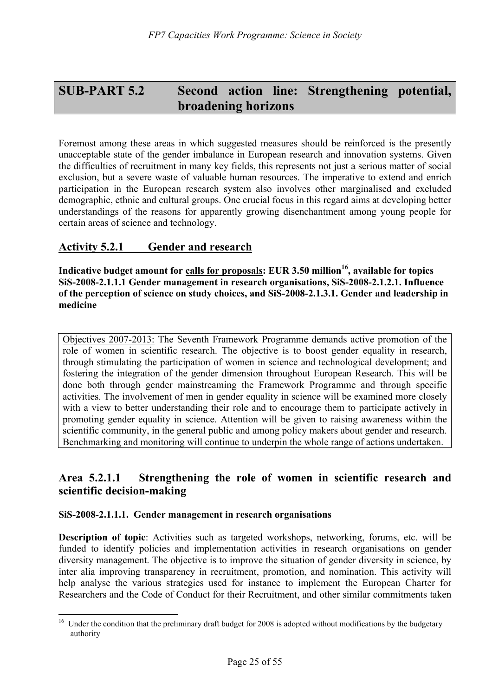# **SUB-PART 5.2 Second action line: Strengthening potential, broadening horizons**

Foremost among these areas in which suggested measures should be reinforced is the presently unacceptable state of the gender imbalance in European research and innovation systems. Given the difficulties of recruitment in many key fields, this represents not just a serious matter of social exclusion, but a severe waste of valuable human resources. The imperative to extend and enrich participation in the European research system also involves other marginalised and excluded demographic, ethnic and cultural groups. One crucial focus in this regard aims at developing better understandings of the reasons for apparently growing disenchantment among young people for certain areas of science and technology.

# **Activity 5.2.1 Gender and research**

Indicative budget amount for calls for proposals: EUR 3.50 million<sup>16</sup>, available for topics **SiS-2008-2.1.1.1 Gender management in research organisations, SiS-2008-2.1.2.1. Influence of the perception of science on study choices, and SiS-2008-2.1.3.1. Gender and leadership in medicine** 

Objectives 2007-2013: The Seventh Framework Programme demands active promotion of the role of women in scientific research. The objective is to boost gender equality in research, through stimulating the participation of women in science and technological development; and fostering the integration of the gender dimension throughout European Research. This will be done both through gender mainstreaming the Framework Programme and through specific activities. The involvement of men in gender equality in science will be examined more closely with a view to better understanding their role and to encourage them to participate actively in promoting gender equality in science. Attention will be given to raising awareness within the scientific community, in the general public and among policy makers about gender and research. Benchmarking and monitoring will continue to underpin the whole range of actions undertaken.

# **Area 5.2.1.1 Strengthening the role of women in scientific research and scientific decision-making**

#### **SiS-2008-2.1.1.1. Gender management in research organisations**

 $\overline{a}$ 

**Description of topic**: Activities such as targeted workshops, networking, forums, etc. will be funded to identify policies and implementation activities in research organisations on gender diversity management. The objective is to improve the situation of gender diversity in science, by inter alia improving transparency in recruitment, promotion, and nomination. This activity will help analyse the various strategies used for instance to implement the European Charter for Researchers and the Code of Conduct for their Recruitment, and other similar commitments taken

 $16$  Under the condition that the preliminary draft budget for 2008 is adopted without modifications by the budgetary authority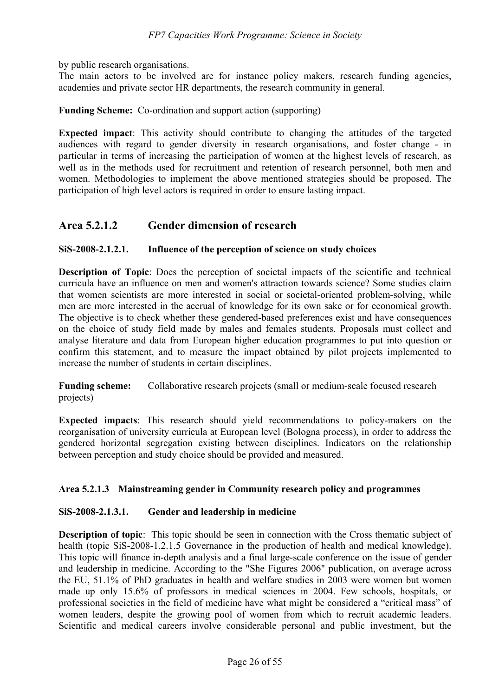by public research organisations.

The main actors to be involved are for instance policy makers, research funding agencies, academies and private sector HR departments, the research community in general.

**Funding Scheme:** Co-ordination and support action (supporting)

**Expected impact**: This activity should contribute to changing the attitudes of the targeted audiences with regard to gender diversity in research organisations, and foster change - in particular in terms of increasing the participation of women at the highest levels of research, as well as in the methods used for recruitment and retention of research personnel, both men and women. Methodologies to implement the above mentioned strategies should be proposed. The participation of high level actors is required in order to ensure lasting impact.

# **Area 5.2.1.2 Gender dimension of research**

### **SiS-2008-2.1.2.1. Influence of the perception of science on study choices**

**Description of Topic**: Does the perception of societal impacts of the scientific and technical curricula have an influence on men and women's attraction towards science? Some studies claim that women scientists are more interested in social or societal-oriented problem-solving, while men are more interested in the accrual of knowledge for its own sake or for economical growth. The objective is to check whether these gendered-based preferences exist and have consequences on the choice of study field made by males and females students. Proposals must collect and analyse literature and data from European higher education programmes to put into question or confirm this statement, and to measure the impact obtained by pilot projects implemented to increase the number of students in certain disciplines.

**Funding scheme:** Collaborative research projects (small or medium-scale focused research projects)

**Expected impacts**: This research should yield recommendations to policy-makers on the reorganisation of university curricula at European level (Bologna process), in order to address the gendered horizontal segregation existing between disciplines. Indicators on the relationship between perception and study choice should be provided and measured.

### **Area 5.2.1.3 Mainstreaming gender in Community research policy and programmes**

### **SiS-2008-2.1.3.1. Gender and leadership in medicine**

**Description of topic**: This topic should be seen in connection with the Cross thematic subject of health (topic SiS-2008-1.2.1.5 Governance in the production of health and medical knowledge). This topic will finance in-depth analysis and a final large-scale conference on the issue of gender and leadership in medicine. According to the "She Figures 2006" publication, on average across the EU, 51.1% of PhD graduates in health and welfare studies in 2003 were women but women made up only 15.6% of professors in medical sciences in 2004. Few schools, hospitals, or professional societies in the field of medicine have what might be considered a "critical mass" of women leaders, despite the growing pool of women from which to recruit academic leaders. Scientific and medical careers involve considerable personal and public investment, but the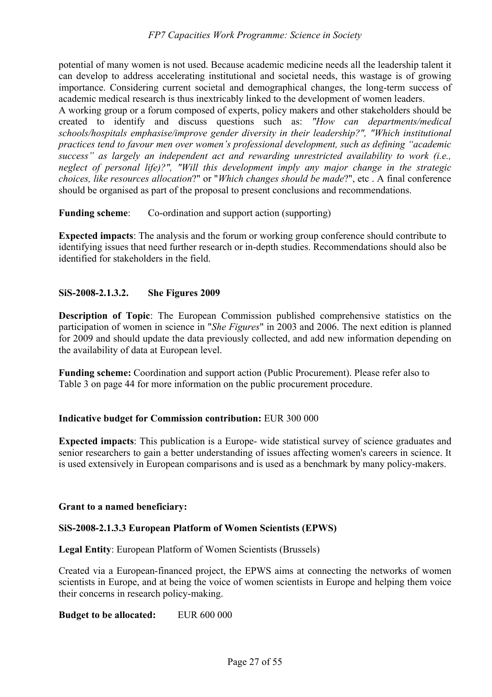potential of many women is not used. Because academic medicine needs all the leadership talent it can develop to address accelerating institutional and societal needs, this wastage is of growing importance. Considering current societal and demographical changes, the long-term success of academic medical research is thus inextricably linked to the development of women leaders.

A working group or a forum composed of experts, policy makers and other stakeholders should be created to identify and discuss questions such as: *"How can departments/medical schools/hospitals emphasise/improve gender diversity in their leadership?", "Which institutional practices tend to favour men over women's professional development, such as defining "academic success" as largely an independent act and rewarding unrestricted availability to work (i.e., neglect of personal life)?", "Will this development imply any major change in the strategic choices, like resources allocation*?" or "*Which changes should be made*?", etc . A final conference should be organised as part of the proposal to present conclusions and recommendations.

**Funding scheme**: Co-ordination and support action (supporting)

**Expected impacts**: The analysis and the forum or working group conference should contribute to identifying issues that need further research or in-depth studies. Recommendations should also be identified for stakeholders in the field.

### **SiS-2008-2.1.3.2. She Figures 2009**

**Description of Topic**: The European Commission published comprehensive statistics on the participation of women in science in "*She Figures*" in 2003 and 2006. The next edition is planned for 2009 and should update the data previously collected, and add new information depending on the availability of data at European level.

**Funding scheme:** Coordination and support action (Public Procurement). Please refer also to Table 3 on page 44 for more information on the public procurement procedure.

### **Indicative budget for Commission contribution:** EUR 300 000

**Expected impacts**: This publication is a Europe- wide statistical survey of science graduates and senior researchers to gain a better understanding of issues affecting women's careers in science. It is used extensively in European comparisons and is used as a benchmark by many policy-makers.

#### **Grant to a named beneficiary:**

#### **SiS-2008-2.1.3.3 European Platform of Women Scientists (EPWS)**

**Legal Entity**: European Platform of Women Scientists (Brussels)

Created via a European-financed project, the EPWS aims at connecting the networks of women scientists in Europe, and at being the voice of women scientists in Europe and helping them voice their concerns in research policy-making.

**Budget to be allocated:** EUR 600 000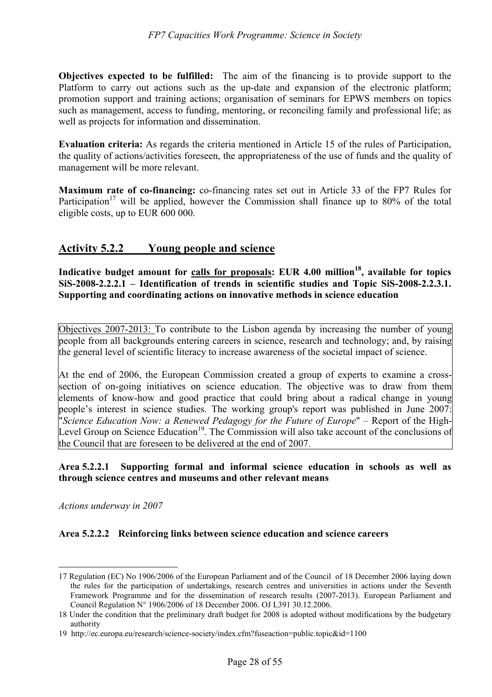**Objectives expected to be fulfilled:** The aim of the financing is to provide support to the Platform to carry out actions such as the up-date and expansion of the electronic platform; promotion support and training actions; organisation of seminars for EPWS members on topics such as management, access to funding, mentoring, or reconciling family and professional life; as well as projects for information and dissemination.

**Evaluation criteria:** As regards the criteria mentioned in Article 15 of the rules of Participation, the quality of actions/activities foreseen, the appropriateness of the use of funds and the quality of management will be more relevant.

**Maximum rate of co-financing:** co-financing rates set out in Article 33 of the FP7 Rules for Participation<sup>17</sup> will be applied, however the Commission shall finance up to 80% of the total eligible costs, up to EUR 600 000.

# **Activity 5.2.2 Young people and science**

Indicative budget amount for calls for proposals: EUR 4.00 million<sup>18</sup>, available for topics **SiS-2008-2.2.2.1 – Identification of trends in scientific studies and Topic SiS-2008-2.2.3.1. Supporting and coordinating actions on innovative methods in science education** 

Objectives 2007-2013: To contribute to the Lisbon agenda by increasing the number of young people from all backgrounds entering careers in science, research and technology; and, by raising the general level of scientific literacy to increase awareness of the societal impact of science.

At the end of 2006, the European Commission created a group of experts to examine a crosssection of on-going initiatives on science education. The objective was to draw from them elements of know-how and good practice that could bring about a radical change in young people's interest in science studies. The working group's report was published in June 2007: "*Science Education Now: a Renewed Pedagogy for the Future of Europe*" – Report of the High-Level Group on Science Education<sup>19</sup>. The Commission will also take account of the conclusions of the Council that are foreseen to be delivered at the end of 2007.

### **Area 5.2.2.1 Supporting formal and informal science education in schools as well as through science centres and museums and other relevant means**

*Actions underway in 2007*

 $\overline{a}$ 

### **Area 5.2.2.2 Reinforcing links between science education and science careers**

<sup>17</sup> Regulation (EC) No 1906/2006 of the European Parliament and of the Council of 18 December 2006 laying down the rules for the participation of undertakings, research centres and universities in actions under the Seventh Framework Programme and for the dissemination of research results (2007-2013). European Parliament and Council Regulation N° 1906/2006 of 18 December 2006. OJ L391 30.12.2006.

<sup>18</sup> Under the condition that the preliminary draft budget for 2008 is adopted without modifications by the budgetary authority

<sup>19</sup> http://ec.europa.eu/research/science-society/index.cfm?fuseaction=public.topic&id=1100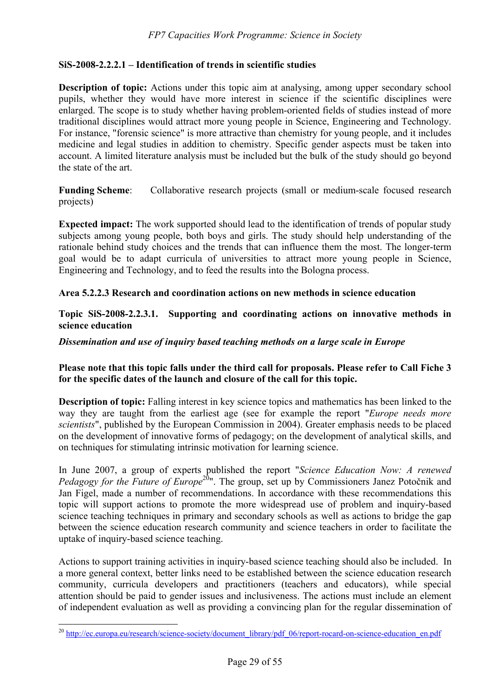### **SiS-2008-2.2.2.1 – Identification of trends in scientific studies**

**Description of topic:** Actions under this topic aim at analysing, among upper secondary school pupils, whether they would have more interest in science if the scientific disciplines were enlarged. The scope is to study whether having problem-oriented fields of studies instead of more traditional disciplines would attract more young people in Science, Engineering and Technology. For instance, "forensic science" is more attractive than chemistry for young people, and it includes medicine and legal studies in addition to chemistry. Specific gender aspects must be taken into account. A limited literature analysis must be included but the bulk of the study should go beyond the state of the art.

**Funding Scheme**: Collaborative research projects (small or medium-scale focused research projects)

**Expected impact:** The work supported should lead to the identification of trends of popular study subjects among young people, both boys and girls. The study should help understanding of the rationale behind study choices and the trends that can influence them the most. The longer-term goal would be to adapt curricula of universities to attract more young people in Science, Engineering and Technology, and to feed the results into the Bologna process.

#### **Area 5.2.2.3 Research and coordination actions on new methods in science education**

**Topic SiS-2008-2.2.3.1. Supporting and coordinating actions on innovative methods in science education** 

#### *Dissemination and use of inquiry based teaching methods on a large scale in Europe*

#### **Please note that this topic falls under the third call for proposals. Please refer to Call Fiche 3 for the specific dates of the launch and closure of the call for this topic.**

**Description of topic:** Falling interest in key science topics and mathematics has been linked to the way they are taught from the earliest age (see for example the report "*Europe needs more scientists*", published by the European Commission in 2004). Greater emphasis needs to be placed on the development of innovative forms of pedagogy; on the development of analytical skills, and on techniques for stimulating intrinsic motivation for learning science.

In June 2007, a group of experts published the report "*Science Education Now: A renewed Pedagogy for the Future of Europe*<sup>20</sup>". The group, set up by Commissioners Janez Potočnik and Jan Figel, made a number of recommendations. In accordance with these recommendations this topic will support actions to promote the more widespread use of problem and inquiry-based science teaching techniques in primary and secondary schools as well as actions to bridge the gap between the science education research community and science teachers in order to facilitate the uptake of inquiry-based science teaching.

Actions to support training activities in inquiry-based science teaching should also be included. In a more general context, better links need to be established between the science education research community, curricula developers and practitioners (teachers and educators), while special attention should be paid to gender issues and inclusiveness. The actions must include an element of independent evaluation as well as providing a convincing plan for the regular dissemination of

 $\overline{a}$ 

<sup>&</sup>lt;sup>20</sup> http://ec.europa.eu/research/science-society/document\_library/pdf\_06/report-rocard-on-science-education\_en.pdf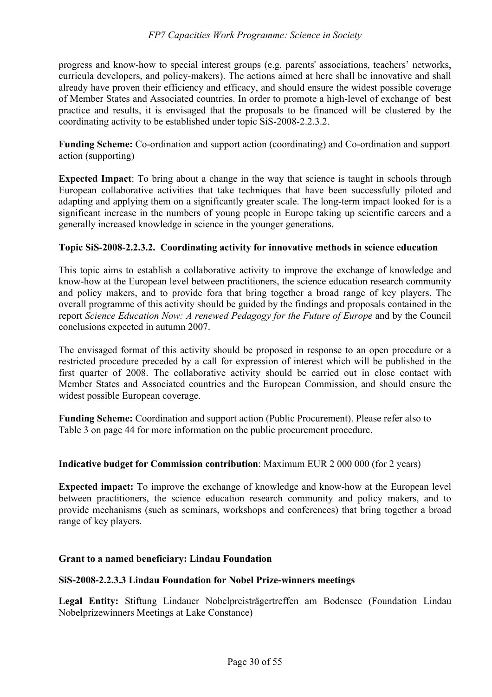#### *FP7 Capacities Work Programme: Science in Society*

progress and know-how to special interest groups (e.g. parents' associations, teachers' networks, curricula developers, and policy-makers). The actions aimed at here shall be innovative and shall already have proven their efficiency and efficacy, and should ensure the widest possible coverage of Member States and Associated countries. In order to promote a high-level of exchange of best practice and results, it is envisaged that the proposals to be financed will be clustered by the coordinating activity to be established under topic SiS-2008-2.2.3.2.

**Funding Scheme:** Co-ordination and support action (coordinating) and Co-ordination and support action (supporting)

**Expected Impact**: To bring about a change in the way that science is taught in schools through European collaborative activities that take techniques that have been successfully piloted and adapting and applying them on a significantly greater scale. The long-term impact looked for is a significant increase in the numbers of young people in Europe taking up scientific careers and a generally increased knowledge in science in the younger generations.

#### **Topic SiS-2008-2.2.3.2. Coordinating activity for innovative methods in science education**

This topic aims to establish a collaborative activity to improve the exchange of knowledge and know-how at the European level between practitioners, the science education research community and policy makers, and to provide fora that bring together a broad range of key players. The overall programme of this activity should be guided by the findings and proposals contained in the report *Science Education Now: A renewed Pedagogy for the Future of Europe* and by the Council conclusions expected in autumn 2007.

The envisaged format of this activity should be proposed in response to an open procedure or a restricted procedure preceded by a call for expression of interest which will be published in the first quarter of 2008. The collaborative activity should be carried out in close contact with Member States and Associated countries and the European Commission, and should ensure the widest possible European coverage.

**Funding Scheme:** Coordination and support action (Public Procurement). Please refer also to Table 3 on page 44 for more information on the public procurement procedure.

#### **Indicative budget for Commission contribution**: Maximum EUR 2 000 000 (for 2 years)

**Expected impact:** To improve the exchange of knowledge and know-how at the European level between practitioners, the science education research community and policy makers, and to provide mechanisms (such as seminars, workshops and conferences) that bring together a broad range of key players.

#### **Grant to a named beneficiary: Lindau Foundation**

#### **SiS-2008-2.2.3.3 Lindau Foundation for Nobel Prize-winners meetings**

**Legal Entity:** Stiftung Lindauer Nobelpreisträgertreffen am Bodensee (Foundation Lindau Nobelprizewinners Meetings at Lake Constance)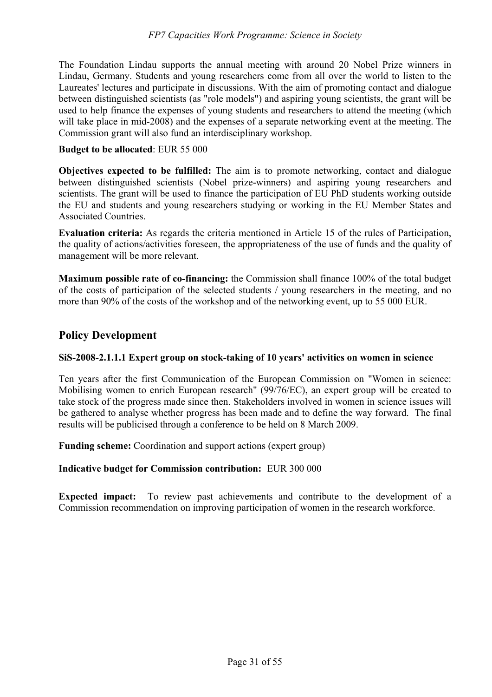The Foundation Lindau supports the annual meeting with around 20 Nobel Prize winners in Lindau, Germany. Students and young researchers come from all over the world to listen to the Laureates' lectures and participate in discussions. With the aim of promoting contact and dialogue between distinguished scientists (as "role models") and aspiring young scientists, the grant will be used to help finance the expenses of young students and researchers to attend the meeting (which will take place in mid-2008) and the expenses of a separate networking event at the meeting. The Commission grant will also fund an interdisciplinary workshop.

### **Budget to be allocated**: EUR 55 000

**Objectives expected to be fulfilled:** The aim is to promote networking, contact and dialogue between distinguished scientists (Nobel prize-winners) and aspiring young researchers and scientists. The grant will be used to finance the participation of EU PhD students working outside the EU and students and young researchers studying or working in the EU Member States and Associated Countries.

**Evaluation criteria:** As regards the criteria mentioned in Article 15 of the rules of Participation, the quality of actions/activities foreseen, the appropriateness of the use of funds and the quality of management will be more relevant.

**Maximum possible rate of co-financing:** the Commission shall finance 100% of the total budget of the costs of participation of the selected students / young researchers in the meeting, and no more than 90% of the costs of the workshop and of the networking event, up to 55 000 EUR.

# **Policy Development**

### **SiS-2008-2.1.1.1 Expert group on stock-taking of 10 years' activities on women in science**

Ten years after the first Communication of the European Commission on "Women in science: Mobilising women to enrich European research" (99/76/EC), an expert group will be created to take stock of the progress made since then. Stakeholders involved in women in science issues will be gathered to analyse whether progress has been made and to define the way forward. The final results will be publicised through a conference to be held on 8 March 2009.

**Funding scheme:** Coordination and support actions (expert group)

### **Indicative budget for Commission contribution:** EUR 300 000

**Expected impact:** To review past achievements and contribute to the development of a Commission recommendation on improving participation of women in the research workforce.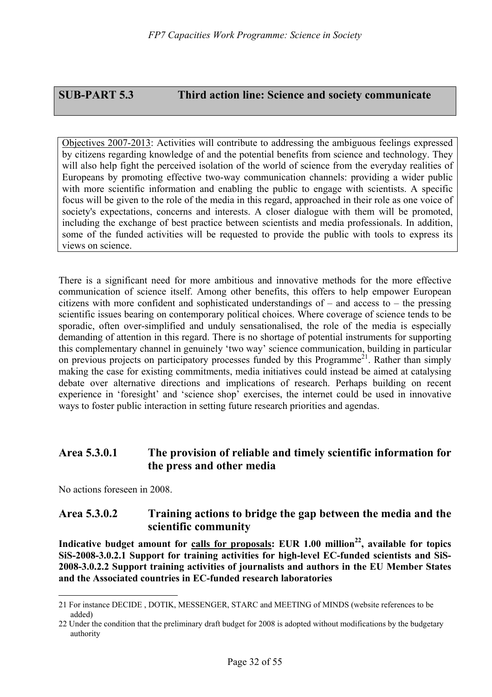# **SUB-PART 5.3 Third action line: Science and society communicate**

Objectives 2007-2013: Activities will contribute to addressing the ambiguous feelings expressed by citizens regarding knowledge of and the potential benefits from science and technology. They will also help fight the perceived isolation of the world of science from the everyday realities of Europeans by promoting effective two-way communication channels: providing a wider public with more scientific information and enabling the public to engage with scientists. A specific focus will be given to the role of the media in this regard, approached in their role as one voice of society's expectations, concerns and interests. A closer dialogue with them will be promoted, including the exchange of best practice between scientists and media professionals. In addition, some of the funded activities will be requested to provide the public with tools to express its views on science.

There is a significant need for more ambitious and innovative methods for the more effective communication of science itself. Among other benefits, this offers to help empower European citizens with more confident and sophisticated understandings of – and access to – the pressing scientific issues bearing on contemporary political choices. Where coverage of science tends to be sporadic, often over-simplified and unduly sensationalised, the role of the media is especially demanding of attention in this regard. There is no shortage of potential instruments for supporting this complementary channel in genuinely 'two way' science communication, building in particular on previous projects on participatory processes funded by this Programme<sup>21</sup>. Rather than simply making the case for existing commitments, media initiatives could instead be aimed at catalysing debate over alternative directions and implications of research. Perhaps building on recent experience in 'foresight' and 'science shop' exercises, the internet could be used in innovative ways to foster public interaction in setting future research priorities and agendas.

# **Area 5.3.0.1 The provision of reliable and timely scientific information for the press and other media**

No actions foreseen in 2008.

 $\overline{a}$ 

# **Area 5.3.0.2 Training actions to bridge the gap between the media and the scientific community**

Indicative budget amount for calls for proposals: EUR 1.00 million<sup>22</sup>, available for topics **SiS-2008-3.0.2.1 Support for training activities for high-level EC-funded scientists and SiS-2008-3.0.2.2 Support training activities of journalists and authors in the EU Member States and the Associated countries in EC-funded research laboratories** 

<sup>21</sup> For instance DECIDE , DOTIK, MESSENGER, STARC and MEETING of MINDS (website references to be added)

<sup>22</sup> Under the condition that the preliminary draft budget for 2008 is adopted without modifications by the budgetary authority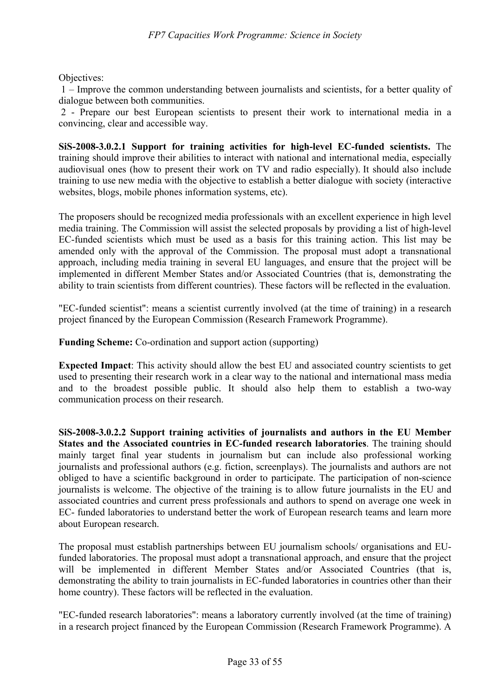Objectives:

 1 – Improve the common understanding between journalists and scientists, for a better quality of dialogue between both communities.

 2 - Prepare our best European scientists to present their work to international media in a convincing, clear and accessible way.

**SiS-2008-3.0.2.1 Support for training activities for high-level EC-funded scientists.** The training should improve their abilities to interact with national and international media, especially audiovisual ones (how to present their work on TV and radio especially). It should also include training to use new media with the objective to establish a better dialogue with society (interactive websites, blogs, mobile phones information systems, etc).

The proposers should be recognized media professionals with an excellent experience in high level media training. The Commission will assist the selected proposals by providing a list of high-level EC-funded scientists which must be used as a basis for this training action. This list may be amended only with the approval of the Commission. The proposal must adopt a transnational approach, including media training in several EU languages, and ensure that the project will be implemented in different Member States and/or Associated Countries (that is, demonstrating the ability to train scientists from different countries). These factors will be reflected in the evaluation.

"EC-funded scientist": means a scientist currently involved (at the time of training) in a research project financed by the European Commission (Research Framework Programme).

**Funding Scheme:** Co-ordination and support action (supporting)

**Expected Impact**: This activity should allow the best EU and associated country scientists to get used to presenting their research work in a clear way to the national and international mass media and to the broadest possible public. It should also help them to establish a two-way communication process on their research.

**SiS-2008-3.0.2.2 Support training activities of journalists and authors in the EU Member States and the Associated countries in EC-funded research laboratories**. The training should mainly target final year students in journalism but can include also professional working journalists and professional authors (e.g. fiction, screenplays). The journalists and authors are not obliged to have a scientific background in order to participate. The participation of non-science journalists is welcome. The objective of the training is to allow future journalists in the EU and associated countries and current press professionals and authors to spend on average one week in EC- funded laboratories to understand better the work of European research teams and learn more about European research.

The proposal must establish partnerships between EU journalism schools/ organisations and EUfunded laboratories. The proposal must adopt a transnational approach, and ensure that the project will be implemented in different Member States and/or Associated Countries (that is, demonstrating the ability to train journalists in EC-funded laboratories in countries other than their home country). These factors will be reflected in the evaluation.

"EC-funded research laboratories": means a laboratory currently involved (at the time of training) in a research project financed by the European Commission (Research Framework Programme). A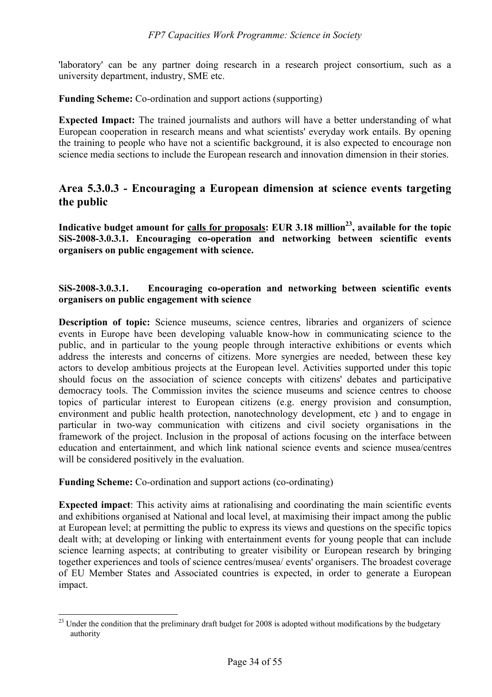'laboratory' can be any partner doing research in a research project consortium, such as a university department, industry, SME etc.

**Funding Scheme:** Co-ordination and support actions (supporting)

**Expected Impact:** The trained journalists and authors will have a better understanding of what European cooperation in research means and what scientists' everyday work entails. By opening the training to people who have not a scientific background, it is also expected to encourage non science media sections to include the European research and innovation dimension in their stories.

# **Area 5.3.0.3 - Encouraging a European dimension at science events targeting the public**

Indicative budget amount for calls for proposals: EUR 3.18 million<sup>23</sup>, available for the topic **SiS-2008-3.0.3.1. Encouraging co-operation and networking between scientific events organisers on public engagement with science.** 

### **SiS-2008-3.0.3.1. Encouraging co-operation and networking between scientific events organisers on public engagement with science**

**Description of topic:** Science museums, science centres, libraries and organizers of science events in Europe have been developing valuable know-how in communicating science to the public, and in particular to the young people through interactive exhibitions or events which address the interests and concerns of citizens. More synergies are needed, between these key actors to develop ambitious projects at the European level. Activities supported under this topic should focus on the association of science concepts with citizens' debates and participative democracy tools. The Commission invites the science museums and science centres to choose topics of particular interest to European citizens (e.g. energy provision and consumption, environment and public health protection, nanotechnology development, etc ) and to engage in particular in two-way communication with citizens and civil society organisations in the framework of the project. Inclusion in the proposal of actions focusing on the interface between education and entertainment, and which link national science events and science musea/centres will be considered positively in the evaluation.

**Funding Scheme:** Co-ordination and support actions (co-ordinating)

 $\overline{a}$ 

**Expected impact**: This activity aims at rationalising and coordinating the main scientific events and exhibitions organised at National and local level, at maximising their impact among the public at European level; at permitting the public to express its views and questions on the specific topics dealt with; at developing or linking with entertainment events for young people that can include science learning aspects; at contributing to greater visibility or European research by bringing together experiences and tools of science centres/musea/ events' organisers. The broadest coverage of EU Member States and Associated countries is expected, in order to generate a European impact.

 $^{23}$  Under the condition that the preliminary draft budget for 2008 is adopted without modifications by the budgetary authority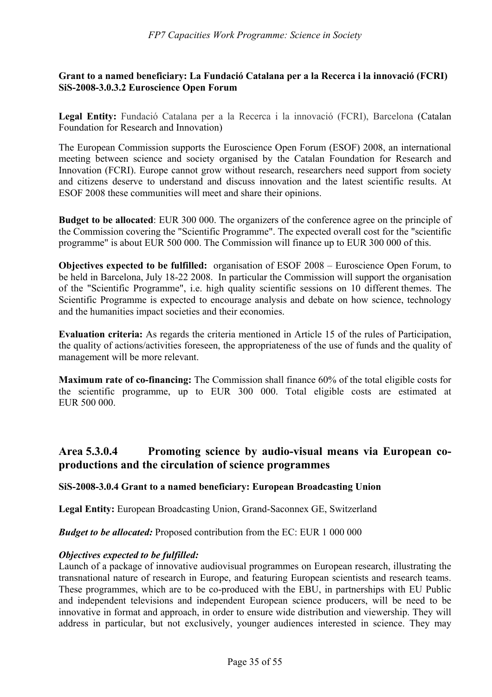#### **Grant to a named beneficiary: La Fundació Catalana per a la Recerca i la innovació (FCRI) SiS-2008-3.0.3.2 Euroscience Open Forum**

**Legal Entity:** Fundació Catalana per a la Recerca i la innovació (FCRI), Barcelona (Catalan Foundation for Research and Innovation)

The European Commission supports the Euroscience Open Forum (ESOF) 2008, an international meeting between science and society organised by the Catalan Foundation for Research and Innovation (FCRI). Europe cannot grow without research, researchers need support from society and citizens deserve to understand and discuss innovation and the latest scientific results. At ESOF 2008 these communities will meet and share their opinions.

**Budget to be allocated**: EUR 300 000. The organizers of the conference agree on the principle of the Commission covering the "Scientific Programme". The expected overall cost for the "scientific programme" is about EUR 500 000. The Commission will finance up to EUR 300 000 of this.

**Objectives expected to be fulfilled:** organisation of ESOF 2008 – Euroscience Open Forum, to be held in Barcelona, July 18-22 2008. In particular the Commission will support the organisation of the "Scientific Programme", i.e. high quality scientific sessions on 10 different themes. The Scientific Programme is expected to encourage analysis and debate on how science, technology and the humanities impact societies and their economies.

**Evaluation criteria:** As regards the criteria mentioned in Article 15 of the rules of Participation, the quality of actions/activities foreseen, the appropriateness of the use of funds and the quality of management will be more relevant.

**Maximum rate of co-financing:** The Commission shall finance 60% of the total eligible costs for the scientific programme, up to EUR 300 000. Total eligible costs are estimated at EUR 500 000.

# **Area 5.3.0.4 Promoting science by audio-visual means via European coproductions and the circulation of science programmes**

### **SiS-2008-3.0.4 Grant to a named beneficiary: European Broadcasting Union**

**Legal Entity:** European Broadcasting Union, Grand-Saconnex GE, Switzerland

*Budget to be allocated:* Proposed contribution from the EC: EUR 1 000 000

#### *Objectives expected to be fulfilled:*

Launch of a package of innovative audiovisual programmes on European research, illustrating the transnational nature of research in Europe, and featuring European scientists and research teams. These programmes, which are to be co-produced with the EBU, in partnerships with EU Public and independent televisions and independent European science producers, will be need to be innovative in format and approach, in order to ensure wide distribution and viewership. They will address in particular, but not exclusively, younger audiences interested in science. They may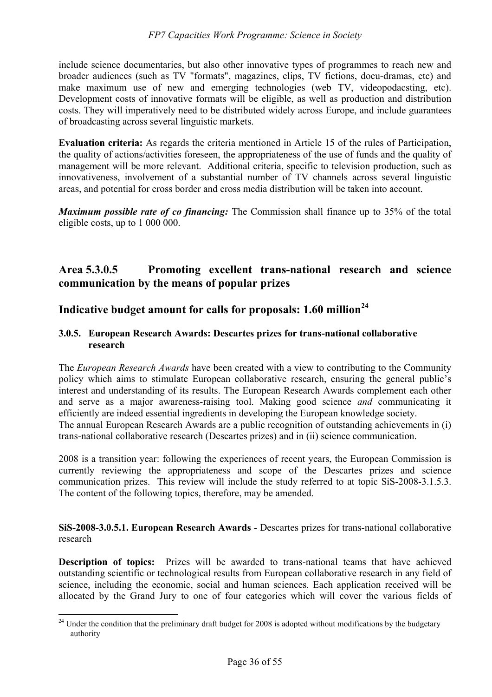include science documentaries, but also other innovative types of programmes to reach new and broader audiences (such as TV "formats", magazines, clips, TV fictions, docu-dramas, etc) and make maximum use of new and emerging technologies (web TV, videopodacsting, etc). Development costs of innovative formats will be eligible, as well as production and distribution costs. They will imperatively need to be distributed widely across Europe, and include guarantees of broadcasting across several linguistic markets.

**Evaluation criteria:** As regards the criteria mentioned in Article 15 of the rules of Participation, the quality of actions/activities foreseen, the appropriateness of the use of funds and the quality of management will be more relevant. Additional criteria, specific to television production, such as innovativeness, involvement of a substantial number of TV channels across several linguistic areas, and potential for cross border and cross media distribution will be taken into account.

*Maximum possible rate of co financing:* The Commission shall finance up to 35% of the total eligible costs, up to 1 000 000.

# **Area 5.3.0.5 Promoting excellent trans-national research and science communication by the means of popular prizes**

# **Indicative budget amount for calls for proposals: 1.60 million<sup>24</sup>**

### **3.0.5. European Research Awards: Descartes prizes for trans-national collaborative research**

The *European Research Awards* have been created with a view to contributing to the Community policy which aims to stimulate European collaborative research, ensuring the general public's interest and understanding of its results. The European Research Awards complement each other and serve as a major awareness-raising tool. Making good science *and* communicating it efficiently are indeed essential ingredients in developing the European knowledge society. The annual European Research Awards are a public recognition of outstanding achievements in (i) trans-national collaborative research (Descartes prizes) and in (ii) science communication.

2008 is a transition year: following the experiences of recent years, the European Commission is currently reviewing the appropriateness and scope of the Descartes prizes and science communication prizes. This review will include the study referred to at topic SiS-2008-3.1.5.3. The content of the following topics, therefore, may be amended.

**SiS-2008-3.0.5.1. European Research Awards** - Descartes prizes for trans-national collaborative research

**Description of topics:** Prizes will be awarded to trans-national teams that have achieved outstanding scientific or technological results from European collaborative research in any field of science, including the economic, social and human sciences. Each application received will be allocated by the Grand Jury to one of four categories which will cover the various fields of

 $\overline{a}$ 

<sup>&</sup>lt;sup>24</sup> Under the condition that the preliminary draft budget for 2008 is adopted without modifications by the budgetary authority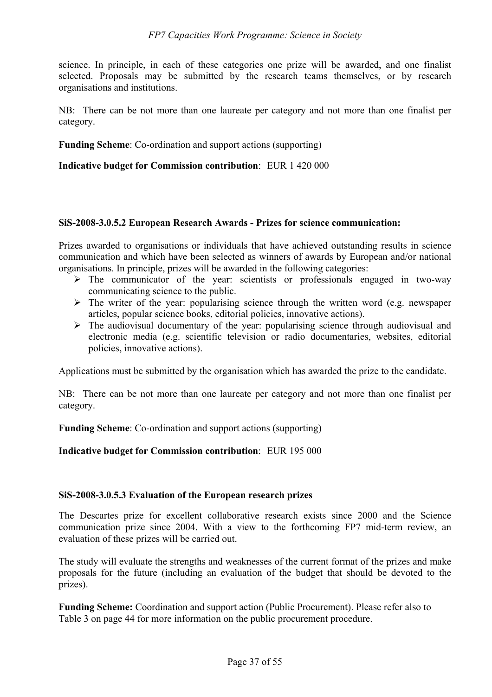science. In principle, in each of these categories one prize will be awarded, and one finalist selected. Proposals may be submitted by the research teams themselves, or by research organisations and institutions.

NB: There can be not more than one laureate per category and not more than one finalist per category.

**Funding Scheme**: Co-ordination and support actions (supporting)

**Indicative budget for Commission contribution**: EUR 1 420 000

#### **SiS-2008-3.0.5.2 European Research Awards - Prizes for science communication:**

Prizes awarded to organisations or individuals that have achieved outstanding results in science communication and which have been selected as winners of awards by European and/or national organisations. In principle, prizes will be awarded in the following categories:

- $\triangleright$  The communicator of the year: scientists or professionals engaged in two-way communicating science to the public.
- $\triangleright$  The writer of the year: popularising science through the written word (e.g. newspaper articles, popular science books, editorial policies, innovative actions).
- $\triangleright$  The audiovisual documentary of the year: popularising science through audiovisual and electronic media (e.g. scientific television or radio documentaries, websites, editorial policies, innovative actions).

Applications must be submitted by the organisation which has awarded the prize to the candidate.

NB: There can be not more than one laureate per category and not more than one finalist per category.

**Funding Scheme**: Co-ordination and support actions (supporting)

**Indicative budget for Commission contribution**: EUR 195 000

#### **SiS-2008-3.0.5.3 Evaluation of the European research prizes**

The Descartes prize for excellent collaborative research exists since 2000 and the Science communication prize since 2004. With a view to the forthcoming FP7 mid-term review, an evaluation of these prizes will be carried out.

The study will evaluate the strengths and weaknesses of the current format of the prizes and make proposals for the future (including an evaluation of the budget that should be devoted to the prizes).

**Funding Scheme:** Coordination and support action (Public Procurement). Please refer also to Table 3 on page 44 for more information on the public procurement procedure.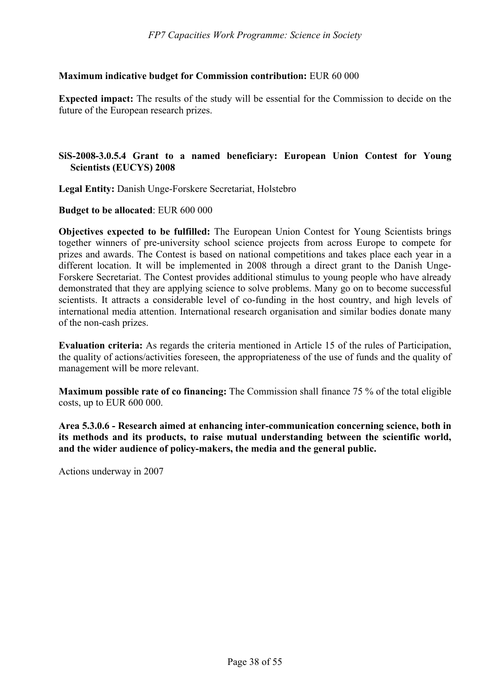#### **Maximum indicative budget for Commission contribution:** EUR 60 000

**Expected impact:** The results of the study will be essential for the Commission to decide on the future of the European research prizes.

### **SiS-2008-3.0.5.4 Grant to a named beneficiary: European Union Contest for Young Scientists (EUCYS) 2008**

**Legal Entity:** Danish Unge-Forskere Secretariat, Holstebro

**Budget to be allocated**: EUR 600 000

**Objectives expected to be fulfilled:** The European Union Contest for Young Scientists brings together winners of pre-university school science projects from across Europe to compete for prizes and awards. The Contest is based on national competitions and takes place each year in a different location. It will be implemented in 2008 through a direct grant to the Danish Unge-Forskere Secretariat. The Contest provides additional stimulus to young people who have already demonstrated that they are applying science to solve problems. Many go on to become successful scientists. It attracts a considerable level of co-funding in the host country, and high levels of international media attention. International research organisation and similar bodies donate many of the non-cash prizes.

**Evaluation criteria:** As regards the criteria mentioned in Article 15 of the rules of Participation, the quality of actions/activities foreseen, the appropriateness of the use of funds and the quality of management will be more relevant.

**Maximum possible rate of co financing:** The Commission shall finance 75 % of the total eligible costs, up to EUR 600 000.

**Area 5.3.0.6 - Research aimed at enhancing inter-communication concerning science, both in its methods and its products, to raise mutual understanding between the scientific world, and the wider audience of policy-makers, the media and the general public.** 

Actions underway in 2007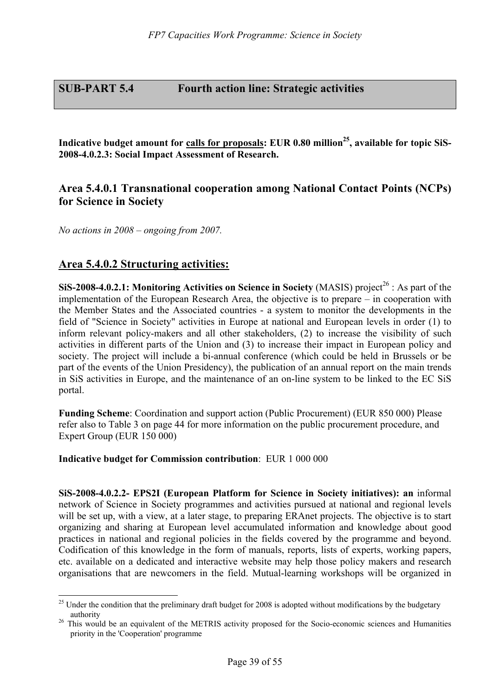# **SUB-PART 5.4 Fourth action line: Strategic activities**

Indicative budget amount for calls for proposals: EUR 0.80 million<sup>25</sup>, available for topic SiS-**2008-4.0.2.3: Social Impact Assessment of Research.** 

# **Area 5.4.0.1 Transnational cooperation among National Contact Points (NCPs) for Science in Society**

*No actions in 2008 – ongoing from 2007.* 

# **Area 5.4.0.2 Structuring activities:**

 $\overline{a}$ 

**SiS-2008-4.0.2.1: Monitoring Activities on Science in Society** (MASIS) project<sup>26</sup>: As part of the implementation of the European Research Area, the objective is to prepare – in cooperation with the Member States and the Associated countries - a system to monitor the developments in the field of "Science in Society" activities in Europe at national and European levels in order (1) to inform relevant policy-makers and all other stakeholders, (2) to increase the visibility of such activities in different parts of the Union and (3) to increase their impact in European policy and society. The project will include a bi-annual conference (which could be held in Brussels or be part of the events of the Union Presidency), the publication of an annual report on the main trends in SiS activities in Europe, and the maintenance of an on-line system to be linked to the EC SiS portal.

**Funding Scheme**: Coordination and support action (Public Procurement) (EUR 850 000) Please refer also to Table 3 on page 44 for more information on the public procurement procedure, and Expert Group (EUR 150 000)

#### **Indicative budget for Commission contribution**: EUR 1 000 000

**SiS-2008-4.0.2.2- EPS2I (European Platform for Science in Society initiatives): an** informal network of Science in Society programmes and activities pursued at national and regional levels will be set up, with a view, at a later stage, to preparing ERAnet projects. The objective is to start organizing and sharing at European level accumulated information and knowledge about good practices in national and regional policies in the fields covered by the programme and beyond. Codification of this knowledge in the form of manuals, reports, lists of experts, working papers, etc. available on a dedicated and interactive website may help those policy makers and research organisations that are newcomers in the field. Mutual-learning workshops will be organized in

 $25$  Under the condition that the preliminary draft budget for 2008 is adopted without modifications by the budgetary

authority<br><sup>26</sup> This would be an equivalent of the METRIS activity proposed for the Socio-economic sciences and Humanities priority in the 'Cooperation' programme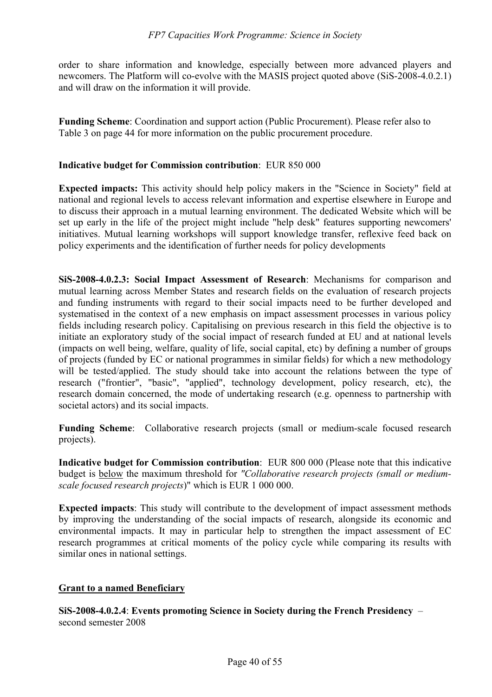order to share information and knowledge, especially between more advanced players and newcomers. The Platform will co-evolve with the MASIS project quoted above (SiS-2008-4.0.2.1) and will draw on the information it will provide.

**Funding Scheme**: Coordination and support action (Public Procurement). Please refer also to Table 3 on page 44 for more information on the public procurement procedure.

### **Indicative budget for Commission contribution**: EUR 850 000

**Expected impacts:** This activity should help policy makers in the "Science in Society" field at national and regional levels to access relevant information and expertise elsewhere in Europe and to discuss their approach in a mutual learning environment. The dedicated Website which will be set up early in the life of the project might include "help desk" features supporting newcomers' initiatives. Mutual learning workshops will support knowledge transfer, reflexive feed back on policy experiments and the identification of further needs for policy developments

**SiS-2008-4.0.2.3: Social Impact Assessment of Research**: Mechanisms for comparison and mutual learning across Member States and research fields on the evaluation of research projects and funding instruments with regard to their social impacts need to be further developed and systematised in the context of a new emphasis on impact assessment processes in various policy fields including research policy. Capitalising on previous research in this field the objective is to initiate an exploratory study of the social impact of research funded at EU and at national levels (impacts on well being, welfare, quality of life, social capital, etc) by defining a number of groups of projects (funded by EC or national programmes in similar fields) for which a new methodology will be tested/applied. The study should take into account the relations between the type of research ("frontier", "basic", "applied", technology development, policy research, etc), the research domain concerned, the mode of undertaking research (e.g. openness to partnership with societal actors) and its social impacts.

**Funding Scheme**: Collaborative research projects (small or medium-scale focused research projects).

**Indicative budget for Commission contribution**: EUR 800 000 (Please note that this indicative budget is below the maximum threshold for *"Collaborative research projects (small or mediumscale focused research projects*)" which is EUR 1 000 000.

**Expected impacts**: This study will contribute to the development of impact assessment methods by improving the understanding of the social impacts of research, alongside its economic and environmental impacts. It may in particular help to strengthen the impact assessment of EC research programmes at critical moments of the policy cycle while comparing its results with similar ones in national settings.

### **Grant to a named Beneficiary**

**SiS-2008-4.0.2.4**: **Events promoting Science in Society during the French Presidency** – second semester 2008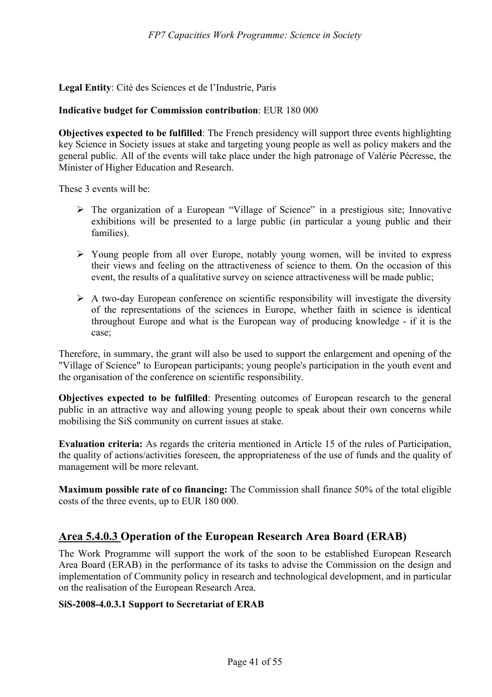**Legal Entity**: Cité des Sciences et de l'Industrie, Paris

#### **Indicative budget for Commission contribution**: EUR 180 000

**Objectives expected to be fulfilled**: The French presidency will support three events highlighting key Science in Society issues at stake and targeting young people as well as policy makers and the general public. All of the events will take place under the high patronage of Valérie Pécresse, the Minister of Higher Education and Research.

These 3 events will be:

- ¾ The organization of a European "Village of Science" in a prestigious site; Innovative exhibitions will be presented to a large public (in particular a young public and their families).
- ¾ Young people from all over Europe, notably young women, will be invited to express their views and feeling on the attractiveness of science to them. On the occasion of this event, the results of a qualitative survey on science attractiveness will be made public;
- $\triangleright$  A two-day European conference on scientific responsibility will investigate the diversity of the representations of the sciences in Europe, whether faith in science is identical throughout Europe and what is the European way of producing knowledge - if it is the case;

Therefore, in summary, the grant will also be used to support the enlargement and opening of the "Village of Science" to European participants; young people's participation in the youth event and the organisation of the conference on scientific responsibility.

**Objectives expected to be fulfilled**: Presenting outcomes of European research to the general public in an attractive way and allowing young people to speak about their own concerns while mobilising the SiS community on current issues at stake.

**Evaluation criteria:** As regards the criteria mentioned in Article 15 of the rules of Participation, the quality of actions/activities foreseen, the appropriateness of the use of funds and the quality of management will be more relevant.

**Maximum possible rate of co financing:** The Commission shall finance 50% of the total eligible costs of the three events, up to EUR 180 000.

# **Area 5.4.0.3 Operation of the European Research Area Board (ERAB)**

The Work Programme will support the work of the soon to be established European Research Area Board (ERAB) in the performance of its tasks to advise the Commission on the design and implementation of Community policy in research and technological development, and in particular on the realisation of the European Research Area.

#### **SiS-2008-4.0.3.1 Support to Secretariat of ERAB**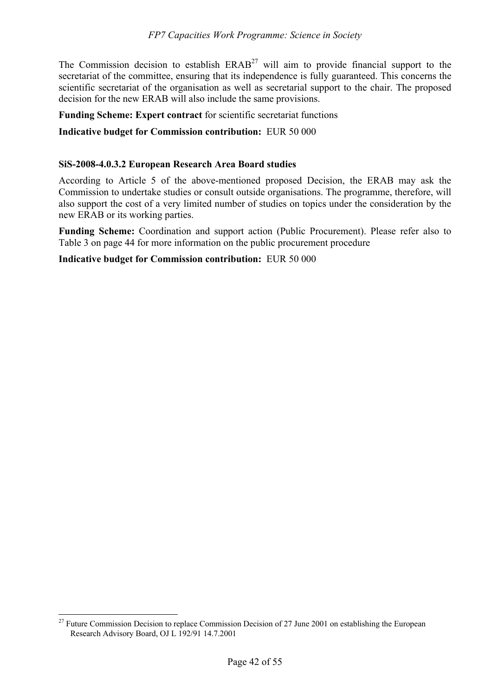The Commission decision to establish  $ERAB^{27}$  will aim to provide financial support to the secretariat of the committee, ensuring that its independence is fully guaranteed. This concerns the scientific secretariat of the organisation as well as secretarial support to the chair. The proposed decision for the new ERAB will also include the same provisions.

**Funding Scheme: Expert contract** for scientific secretariat functions

**Indicative budget for Commission contribution:** EUR 50 000

#### **SiS-2008-4.0.3.2 European Research Area Board studies**

According to Article 5 of the above-mentioned proposed Decision, the ERAB may ask the Commission to undertake studies or consult outside organisations. The programme, therefore, will also support the cost of a very limited number of studies on topics under the consideration by the new ERAB or its working parties.

**Funding Scheme:** Coordination and support action (Public Procurement). Please refer also to Table 3 on page 44 for more information on the public procurement procedure

**Indicative budget for Commission contribution:** EUR 50 000

 $\overline{a}$ 

 $27$  Future Commission Decision to replace Commission Decision of 27 June 2001 on establishing the European Research Advisory Board, OJ L 192/91 14.7.2001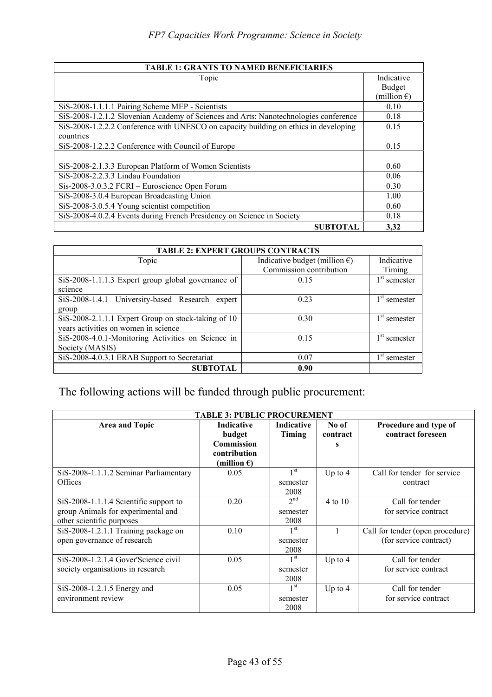| <b>TABLE 1: GRANTS TO NAMED BENEFICIARIES</b>                                        |                       |
|--------------------------------------------------------------------------------------|-----------------------|
| Topic                                                                                | Indicative            |
|                                                                                      | Budget                |
|                                                                                      | (million $\epsilon$ ) |
| SiS-2008-1.1.1.1 Pairing Scheme MEP - Scientists                                     | 0.10                  |
| SiS-2008-1.2.1.2 Slovenian Academy of Sciences and Arts: Nanotechnologies conference | 0.18                  |
| SiS-2008-1.2.2.2 Conference with UNESCO on capacity building on ethics in developing | 0.15                  |
| countries                                                                            |                       |
| SiS-2008-1.2.2.2 Conference with Council of Europe                                   | 0.15                  |
|                                                                                      |                       |
| SiS-2008-2.1.3.3 European Platform of Women Scientists                               | 0.60                  |
| SiS-2008-2.2.3.3 Lindau Foundation                                                   | 0.06                  |
| Sis-2008-3.0.3.2 FCRI – Euroscience Open Forum                                       | 0.30                  |
| SiS-2008-3.0.4 European Broadcasting Union                                           | 1.00                  |
| SiS-2008-3.0.5.4 Young scientist competition                                         | 0.60                  |
| SiS-2008-4.0.2.4 Events during French Presidency on Science in Society               | 0.18                  |
| <b>SUBTOTAL</b>                                                                      | 3.32                  |

| <b>TABLE 2: EXPERT GROUPS CONTRACTS</b>             |                                         |                |
|-----------------------------------------------------|-----------------------------------------|----------------|
| Topic                                               | Indicative budget (million $\epsilon$ ) | Indicative     |
|                                                     | Commission contribution                 | Timing         |
| SiS-2008-1.1.1.3 Expert group global governance of  | 0.15                                    | $1st$ semester |
| science                                             |                                         |                |
| SiS-2008-1.4.1 University-based Research expert     | 0.23                                    | $1st$ semester |
| group                                               |                                         |                |
| SiS-2008-2.1.1.1 Expert Group on stock-taking of 10 | 0.30                                    | $1st$ semester |
| years activities on women in science                |                                         |                |
| SiS-2008-4.0.1-Monitoring Activities on Science in  | 0.15                                    | $1st$ semester |
| Society (MASIS)                                     |                                         |                |
| SiS-2008-4.0.3.1 ERAB Support to Secretariat        | 0.07                                    | $1st$ semester |
| <b>SUBTOTAL</b>                                     | 0.90                                    |                |

# The following actions will be funded through public procurement:

| <b>TABLE 3: PUBLIC PROCUREMENT</b>       |                             |                             |                   |                                            |
|------------------------------------------|-----------------------------|-----------------------------|-------------------|--------------------------------------------|
| Area and Topic                           | <b>Indicative</b><br>budget | <b>Indicative</b><br>Timing | No of<br>contract | Procedure and type of<br>contract foreseen |
|                                          | Commission                  |                             | s                 |                                            |
|                                          | contribution                |                             |                   |                                            |
|                                          | (million $\epsilon$ )       |                             |                   |                                            |
| SiS-2008-1.1.1.2 Seminar Parliamentary   | 0.05                        | 1 <sup>st</sup>             | Up to $4$         | Call for tender for service                |
| <b>Offices</b>                           |                             | semester                    |                   | contract                                   |
|                                          |                             | 2008                        |                   |                                            |
| $SiS-2008-1.1.1.4$ Scientific support to | 0.20                        | 2 <sup>nd</sup>             | $4$ to $10$       | Call for tender                            |
| group Animals for experimental and       |                             | semester                    |                   | for service contract                       |
| other scientific purposes                |                             | 2008                        |                   |                                            |
| SiS-2008-1.2.1.1 Training package on     | 0.10                        | 1 <sup>st</sup>             |                   | Call for tender (open procedure)           |
| open governance of research              |                             | semester                    |                   | (for service contract)                     |
|                                          |                             | 2008                        |                   |                                            |
| SiS-2008-1.2.1.4 Gover'Science civil     | 0.05                        | 1 <sup>st</sup>             | Up to $4$         | Call for tender                            |
| society organisations in research        |                             | semester                    |                   | for service contract                       |
|                                          |                             | 2008                        |                   |                                            |
| SiS-2008-1.2.1.5 Energy and              | 0.05                        | 1 <sup>st</sup>             | Up to $4$         | Call for tender                            |
| environment review                       |                             | semester                    |                   | for service contract                       |
|                                          |                             | 2008                        |                   |                                            |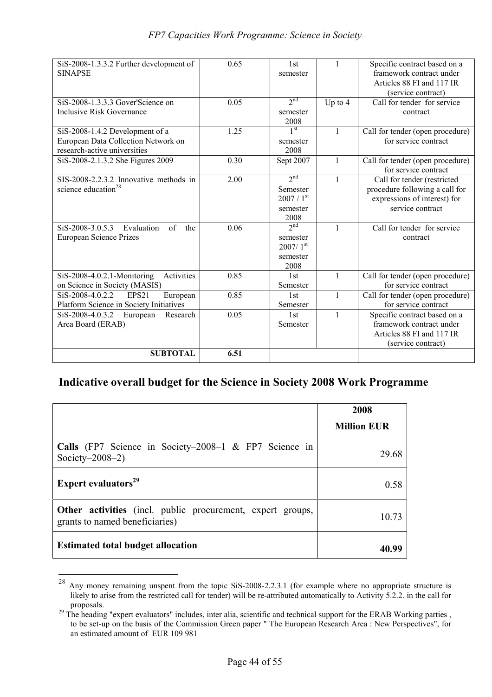| SiS-2008-1.3.3.2 Further development of           | 0.65 | 1st                    | 1            | Specific contract based on a     |
|---------------------------------------------------|------|------------------------|--------------|----------------------------------|
| <b>SINAPSE</b>                                    |      | semester               |              | framework contract under         |
|                                                   |      |                        |              | Articles 88 FI and 117 IR        |
|                                                   |      |                        |              | (service contract)               |
| $SiS-2008-1.3.3.3$ Gover'Science on               | 0.05 | 2 <sup>nd</sup>        | Up to $4$    | Call for tender for service      |
| <b>Inclusive Risk Governance</b>                  |      | semester               |              | contract                         |
|                                                   |      | 2008                   |              |                                  |
| SiS-2008-1.4.2 Development of a                   | 1.25 | 1 <sup>st</sup>        | 1            | Call for tender (open procedure) |
| European Data Collection Network on               |      | semester               |              | for service contract             |
| research-active universities                      |      | 2008                   |              |                                  |
| SiS-2008-2.1.3.2 She Figures 2009                 | 0.30 | Sept 2007              | $\mathbf{1}$ | Call for tender (open procedure) |
|                                                   |      |                        |              | for service contract             |
| SIS-2008-2.2.3.2 Innovative methods in            | 2.00 | 2 <sup>nd</sup>        | $\mathbf{1}$ | Call for tender (restricted      |
| science education <sup>28</sup>                   |      | Semester               |              | procedure following a call for   |
|                                                   |      | $2007/1$ <sup>st</sup> |              | expressions of interest) for     |
|                                                   |      | semester               |              | service contract                 |
|                                                   |      | 2008                   |              |                                  |
| SiS-2008-3.0.5.3<br>of<br>Evaluation<br>the       | 0.06 | 2 <sup>nd</sup>        | 1            | Call for tender for service      |
| European Science Prizes                           |      | semester               |              | contract                         |
|                                                   |      | $2007/1$ <sup>st</sup> |              |                                  |
|                                                   |      | semester               |              |                                  |
|                                                   |      | 2008                   |              |                                  |
| Activities<br>SiS-2008-4.0.2.1-Monitoring         | 0.85 | 1st                    | $\mathbf{1}$ | Call for tender (open procedure) |
| on Science in Society (MASIS)                     |      | Semester               |              | for service contract             |
| SiS-2008-4.0.2.2<br>EPS <sub>21</sub><br>European | 0.85 | 1st                    | $\mathbf{1}$ | Call for tender (open procedure) |
| Platform Science in Society Initiatives           |      | Semester               |              | for service contract             |
| SiS-2008-4.0.3.2<br>Research<br>European          | 0.05 | 1st                    | $\mathbf{1}$ | Specific contract based on a     |
| Area Board (ERAB)                                 |      | Semester               |              | framework contract under         |
|                                                   |      |                        |              | Articles 88 FI and 117 IR        |
|                                                   |      |                        |              | (service contract)               |
| <b>SUBTOTAL</b>                                   | 6.51 |                        |              |                                  |
|                                                   |      |                        |              |                                  |

# **Indicative overall budget for the Science in Society 2008 Work Programme**

|                                                                                                     | 2008               |
|-----------------------------------------------------------------------------------------------------|--------------------|
|                                                                                                     | <b>Million EUR</b> |
| <b>Calls</b> (FP7 Science in Society–2008–1 $\&$ FP7 Science in<br>Society- $2008-2$ )              | 29.68              |
| Expert evaluators <sup>29</sup>                                                                     | 0.58               |
| <b>Other activities</b> (incl. public procurement, expert groups,<br>grants to named beneficiaries) | 10.73              |
| <b>Estimated total budget allocation</b>                                                            |                    |

 $\overline{a}$ 

 $^{28}$  Any money remaining unspent from the topic SiS-2008-2.2.3.1 (for example where no appropriate structure is likely to arise from the restricted call for tender) will be re-attributed automatically to Activity 5.2.2. in the call for proposals.

<sup>&</sup>lt;sup>29</sup> The heading "expert evaluators" includes, inter alia, scientific and technical support for the ERAB Working parties, to be set-up on the basis of the Commission Green paper " The European Research Area : New Perspectives", for an estimated amount of EUR 109 981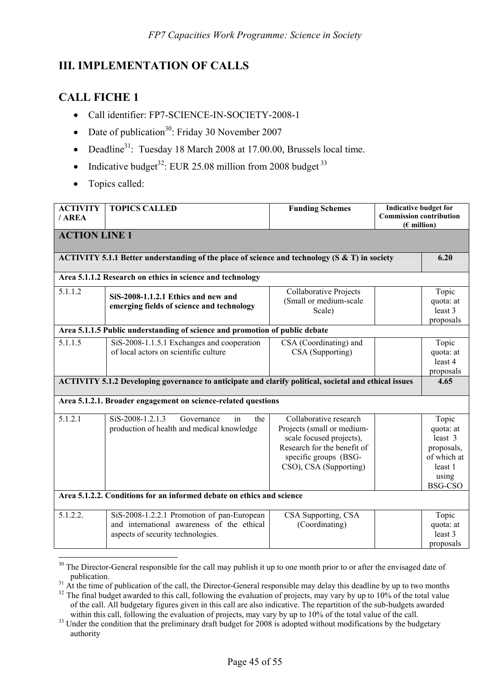# **III. IMPLEMENTATION OF CALLS**

# **CALL FICHE 1**

- Call identifier: FP7-SCIENCE-IN-SOCIETY-2008-1
- Date of publication<sup>30</sup>: Friday 30 November 2007
- Deadline<sup>31</sup>: Tuesday 18 March 2008 at 17.00.00, Brussels local time.
- Indicative budget<sup>32</sup>: EUR 25.08 million from 2008 budget<sup>33</sup>
- Topics called:

 $\overline{a}$ 

| <b>ACTIVITY</b>      | <b>TOPICS CALLED</b>                                                                                  | <b>Funding Schemes</b>      | <b>Indicative budget for</b><br><b>Commission contribution</b> |                |
|----------------------|-------------------------------------------------------------------------------------------------------|-----------------------------|----------------------------------------------------------------|----------------|
| / AREA               |                                                                                                       |                             | $(E$ million)                                                  |                |
| <b>ACTION LINE 1</b> |                                                                                                       |                             |                                                                |                |
|                      | ACTIVITY 5.1.1 Better understanding of the place of science and technology ( $S & T$ ) in society     |                             |                                                                | 6.20           |
|                      |                                                                                                       |                             |                                                                |                |
|                      | Area 5.1.1.2 Research on ethics in science and technology                                             |                             |                                                                |                |
| 5.1.1.2              | SiS-2008-1.1.2.1 Ethics and new and                                                                   | Collaborative Projects      |                                                                | Topic          |
|                      | emerging fields of science and technology                                                             | (Small or medium-scale      |                                                                | quota: at      |
|                      |                                                                                                       | Scale)                      |                                                                | least 3        |
|                      |                                                                                                       |                             |                                                                | proposals      |
|                      | Area 5.1.1.5 Public understanding of science and promotion of public debate                           |                             |                                                                |                |
| 5.1.1.5              | SiS-2008-1.1.5.1 Exchanges and cooperation                                                            | CSA (Coordinating) and      |                                                                | Topic          |
|                      | of local actors on scientific culture                                                                 | CSA (Supporting)            |                                                                | quota: at      |
|                      |                                                                                                       |                             |                                                                | least 4        |
|                      |                                                                                                       |                             |                                                                | proposals      |
|                      | ACTIVITY 5.1.2 Developing governance to anticipate and clarify political, societal and ethical issues |                             |                                                                | 4.65           |
|                      | Area 5.1.2.1. Broader engagement on science-related questions                                         |                             |                                                                |                |
| 5.1.2.1              | SiS-2008-1.2.1.3<br>Governance<br>in<br>the                                                           | Collaborative research      |                                                                | Topic          |
|                      | production of health and medical knowledge                                                            | Projects (small or medium-  |                                                                | quota: at      |
|                      |                                                                                                       | scale focused projects),    |                                                                | least 3        |
|                      |                                                                                                       | Research for the benefit of |                                                                | proposals,     |
|                      |                                                                                                       | specific groups (BSG-       |                                                                | of which at    |
|                      |                                                                                                       | CSO), CSA (Supporting)      |                                                                | least 1        |
|                      |                                                                                                       |                             |                                                                | using          |
|                      |                                                                                                       |                             |                                                                | <b>BSG-CSO</b> |
|                      | Area 5.1.2.2. Conditions for an informed debate on ethics and science                                 |                             |                                                                |                |
| 5.1.2.2.             | SiS-2008-1.2.2.1 Promotion of pan-European                                                            | CSA Supporting, CSA         |                                                                | Topic          |
|                      | and international awareness of the ethical                                                            | (Coordinating)              |                                                                | quota: at      |
|                      | aspects of security technologies.                                                                     |                             |                                                                | least 3        |
|                      |                                                                                                       |                             |                                                                | proposals      |

 $30$  The Director-General responsible for the call may publish it up to one month prior to or after the envisaged date of

publication.<br><sup>31</sup> At the time of publication of the call, the Director-General responsible may delay this deadline by up to two months<br><sup>32</sup> The final budget awarded to this call, following the evaluation of projects, may v of the call. All budgetary figures given in this call are also indicative. The repartition of the sub-budgets awarded

within this call, following the evaluation of projects, may vary by up to 10% of the total value of the call.<br><sup>33</sup> Under the condition that the preliminary draft budget for 2008 is adopted without modifications by the budg authority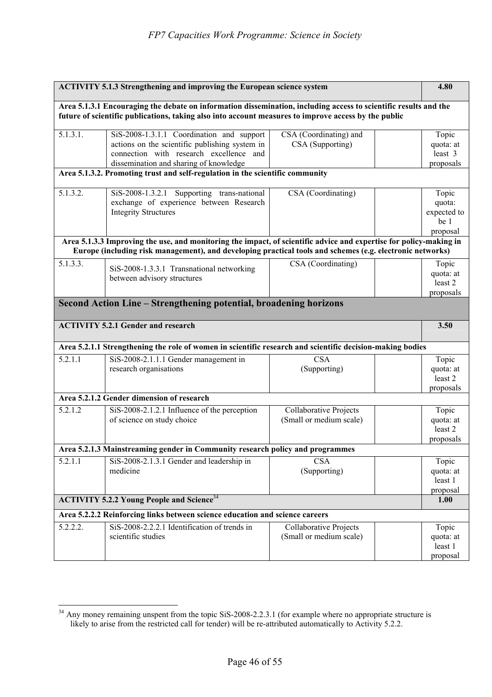|          | <b>ACTIVITY 5.1.3 Strengthening and improving the European science system</b>                                      |                               | 4.80             |
|----------|--------------------------------------------------------------------------------------------------------------------|-------------------------------|------------------|
|          | Area 5.1.3.1 Encouraging the debate on information dissemination, including access to scientific results and the   |                               |                  |
|          | future of scientific publications, taking also into account measures to improve access by the public               |                               |                  |
| 5.1.3.1. | SiS-2008-1.3.1.1 Coordination and support                                                                          | CSA (Coordinating) and        | Topic            |
|          | actions on the scientific publishing system in                                                                     | CSA (Supporting)              | quota: at        |
|          | connection with research excellence and                                                                            |                               | least 3          |
|          | dissemination and sharing of knowledge                                                                             |                               | proposals        |
|          | Area 5.1.3.2. Promoting trust and self-regulation in the scientific community                                      |                               |                  |
| 5.1.3.2. | SiS-2008-1.3.2.1 Supporting trans-national                                                                         | CSA (Coordinating)            | Topic            |
|          | exchange of experience between Research                                                                            |                               | quota:           |
|          | <b>Integrity Structures</b>                                                                                        |                               | expected to      |
|          |                                                                                                                    |                               | be 1             |
|          |                                                                                                                    |                               | proposal         |
|          | Area 5.1.3.3 Improving the use, and monitoring the impact, of scientific advice and expertise for policy-making in |                               |                  |
|          | Europe (including risk management), and developing practical tools and schemes (e.g. electronic networks)          |                               |                  |
| 5.1.3.3. | SiS-2008-1.3.3.1 Transnational networking                                                                          | CSA (Coordinating)            | Topic            |
|          | between advisory structures                                                                                        |                               | quota: at        |
|          |                                                                                                                    |                               | least 2          |
|          |                                                                                                                    |                               | proposals        |
|          | Second Action Line - Strengthening potential, broadening horizons                                                  |                               |                  |
|          |                                                                                                                    |                               |                  |
|          | <b>ACTIVITY 5.2.1 Gender and research</b>                                                                          |                               | 3.50             |
|          | Area 5.2.1.1 Strengthening the role of women in scientific research and scientific decision-making bodies          |                               |                  |
| 5.2.1.1  | SiS-2008-2.1.1.1 Gender management in                                                                              | <b>CSA</b>                    | Topic            |
|          | research organisations                                                                                             | (Supporting)                  | quota: at        |
|          |                                                                                                                    |                               | least 2          |
|          |                                                                                                                    |                               | proposals        |
|          | Area 5.2.1.2 Gender dimension of research                                                                          |                               |                  |
| 5.2.1.2  | SiS-2008-2.1.2.1 Influence of the perception                                                                       | <b>Collaborative Projects</b> | Topic            |
|          | of science on study choice                                                                                         | (Small or medium scale)       | quota: at        |
|          |                                                                                                                    |                               | least 2          |
|          | Area 5.2.1.3 Mainstreaming gender in Community research policy and programmes                                      |                               | proposals        |
|          |                                                                                                                    |                               |                  |
| 5.2.1.1  | SiS-2008-2.1.3.1 Gender and leadership in                                                                          | <b>CSA</b>                    | Topic            |
|          | medicine                                                                                                           | (Supporting)                  | quota: at        |
|          |                                                                                                                    |                               | least 1          |
|          | <b>ACTIVITY 5.2.2 Young People and Science</b> <sup>34</sup>                                                       |                               | proposal<br>1.00 |
|          | Area 5.2.2.2 Reinforcing links between science education and science careers                                       |                               |                  |
| 5.2.2.2. | SiS-2008-2.2.2.1 Identification of trends in                                                                       | <b>Collaborative Projects</b> | Topic            |
|          | scientific studies                                                                                                 | (Small or medium scale)       | quota: at        |
|          |                                                                                                                    |                               | least 1          |
|          |                                                                                                                    |                               | proposal         |

 $\overline{a}$  $34$  Any money remaining unspent from the topic SiS-2008-2.2.3.1 (for example where no appropriate structure is likely to arise from the restricted call for tender) will be re-attributed automatically to Activity 5.2.2.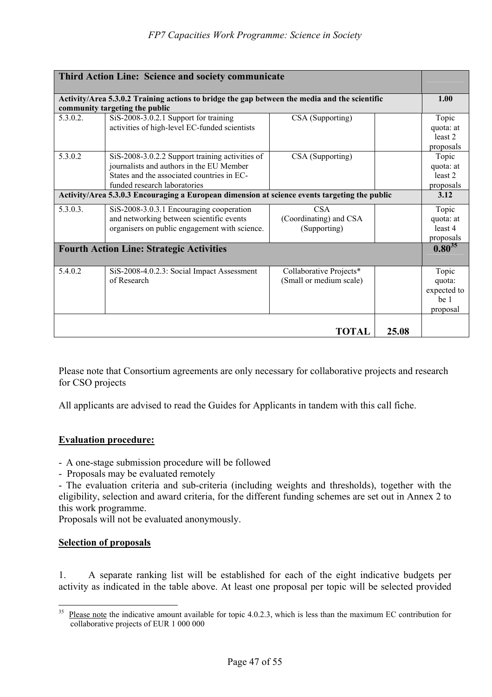|          | Third Action Line: Science and society communicate                                                                                                                        |                                                      |       |                                                               |
|----------|---------------------------------------------------------------------------------------------------------------------------------------------------------------------------|------------------------------------------------------|-------|---------------------------------------------------------------|
|          | Activity/Area 5.3.0.2 Training actions to bridge the gap between the media and the scientific<br>community targeting the public                                           |                                                      |       | 1.00                                                          |
| 5.3.0.2. | $SiS-2008-3.0.2.1$ Support for training<br>activities of high-level EC-funded scientists                                                                                  | CSA (Supporting)                                     |       | Topic<br>quota: at<br>least 2<br>proposals                    |
| 5.3.0.2  | SiS-2008-3.0.2.2 Support training activities of<br>journalists and authors in the EU Member<br>States and the associated countries in EC-<br>funded research laboratories | CSA (Supporting)                                     |       | Topic<br>quota: at<br>least 2<br>proposals                    |
|          | Activity/Area 5.3.0.3 Encouraging a European dimension at science events targeting the public                                                                             |                                                      |       | 3.12                                                          |
| 5.3.0.3. | SiS-2008-3.0.3.1 Encouraging cooperation<br>and networking between scientific events<br>organisers on public engagement with science.                                     | <b>CSA</b><br>(Coordinating) and CSA<br>(Supporting) |       | Topic<br>quota: at<br>least 4<br>proposals                    |
|          | <b>Fourth Action Line: Strategic Activities</b>                                                                                                                           |                                                      |       | $0.80^{35}$                                                   |
| 5.4.0.2  | SiS-2008-4.0.2.3: Social Impact Assessment<br>of Research                                                                                                                 | Collaborative Projects*<br>(Small or medium scale)   |       | Topic<br>quota:<br>expected to<br>be <sub>1</sub><br>proposal |
|          |                                                                                                                                                                           | <b>TOTAL</b>                                         | 25.08 |                                                               |

Please note that Consortium agreements are only necessary for collaborative projects and research for CSO projects

All applicants are advised to read the Guides for Applicants in tandem with this call fiche.

### **Evaluation procedure:**

- A one-stage submission procedure will be followed
- Proposals may be evaluated remotely

- The evaluation criteria and sub-criteria (including weights and thresholds), together with the eligibility, selection and award criteria, for the different funding schemes are set out in Annex 2 to this work programme.

Proposals will not be evaluated anonymously.

#### **Selection of proposals**

 $\overline{a}$ 

1. A separate ranking list will be established for each of the eight indicative budgets per activity as indicated in the table above. At least one proposal per topic will be selected provided

 $35$  Please note the indicative amount available for topic 4.0.2.3, which is less than the maximum EC contribution for collaborative projects of EUR 1 000 000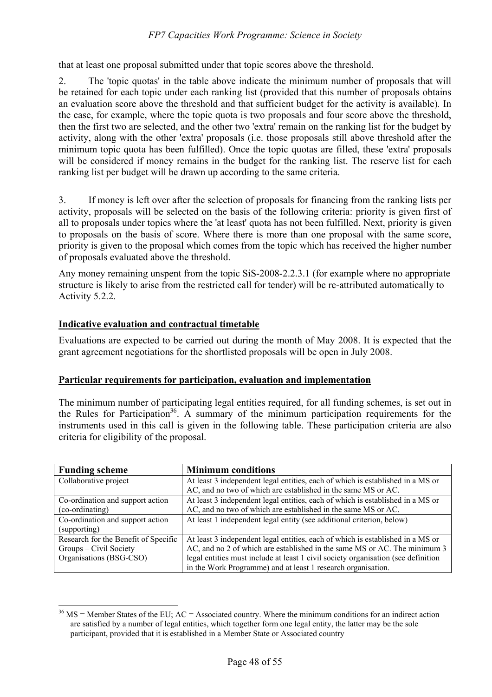that at least one proposal submitted under that topic scores above the threshold.

2. The 'topic quotas' in the table above indicate the minimum number of proposals that will be retained for each topic under each ranking list (provided that this number of proposals obtains an evaluation score above the threshold and that sufficient budget for the activity is available)*.* In the case, for example, where the topic quota is two proposals and four score above the threshold, then the first two are selected, and the other two 'extra' remain on the ranking list for the budget by activity, along with the other 'extra' proposals (i.e. those proposals still above threshold after the minimum topic quota has been fulfilled). Once the topic quotas are filled, these 'extra' proposals will be considered if money remains in the budget for the ranking list. The reserve list for each ranking list per budget will be drawn up according to the same criteria.

3. If money is left over after the selection of proposals for financing from the ranking lists per activity, proposals will be selected on the basis of the following criteria: priority is given first of all to proposals under topics where the 'at least' quota has not been fulfilled. Next, priority is given to proposals on the basis of score. Where there is more than one proposal with the same score, priority is given to the proposal which comes from the topic which has received the higher number of proposals evaluated above the threshold.

Any money remaining unspent from the topic SiS-2008-2.2.3.1 (for example where no appropriate structure is likely to arise from the restricted call for tender) will be re-attributed automatically to Activity 5.2.2.

# **Indicative evaluation and contractual timetable**

Evaluations are expected to be carried out during the month of May 2008. It is expected that the grant agreement negotiations for the shortlisted proposals will be open in July 2008.

### **Particular requirements for participation, evaluation and implementation**

The minimum number of participating legal entities required, for all funding schemes, is set out in the Rules for Participation<sup>36</sup>. A summary of the minimum participation requirements for the instruments used in this call is given in the following table. These participation criteria are also criteria for eligibility of the proposal.

| <b>Funding scheme</b>                | <b>Minimum conditions</b>                                                         |
|--------------------------------------|-----------------------------------------------------------------------------------|
| Collaborative project                | At least 3 independent legal entities, each of which is established in a MS or    |
|                                      | AC, and no two of which are established in the same MS or AC.                     |
| Co-ordination and support action     | At least 3 independent legal entities, each of which is established in a MS or    |
| (co-ordinating)                      | AC, and no two of which are established in the same MS or AC.                     |
| Co-ordination and support action     | At least 1 independent legal entity (see additional criterion, below)             |
| (supporting)                         |                                                                                   |
| Research for the Benefit of Specific | At least 3 independent legal entities, each of which is established in a MS or    |
| Groups – Civil Society               | AC, and no 2 of which are established in the same MS or AC. The minimum 3         |
| Organisations (BSG-CSO)              | legal entities must include at least 1 civil society organisation (see definition |
|                                      | in the Work Programme) and at least 1 research organisation.                      |

 $\overline{a}$  $36$  MS = Member States of the EU; AC = Associated country. Where the minimum conditions for an indirect action are satisfied by a number of legal entities, which together form one legal entity, the latter may be the sole participant, provided that it is established in a Member State or Associated country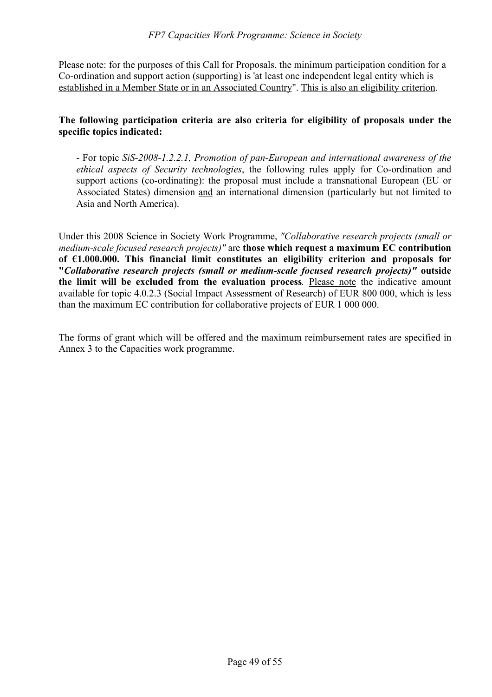Please note: for the purposes of this Call for Proposals, the minimum participation condition for a Co-ordination and support action (supporting) is 'at least one independent legal entity which is established in a Member State or in an Associated Country". This is also an eligibility criterion.

### **The following participation criteria are also criteria for eligibility of proposals under the specific topics indicated:**

- For topic *SiS-2008-1.2.2.1, Promotion of pan-European and international awareness of the ethical aspects of Security technologies*, the following rules apply for Co-ordination and support actions (co-ordinating): the proposal must include a transnational European (EU or Associated States) dimension and an international dimension (particularly but not limited to Asia and North America).

Under this 2008 Science in Society Work Programme, *"Collaborative research projects (small or medium-scale focused research projects)"* are **those which request a maximum EC contribution of €1.000.000. This financial limit constitutes an eligibility criterion and proposals for "***Collaborative research projects (small or medium-scale focused research projects)"* **outside the limit will be excluded from the evaluation process***.* Please note the indicative amount available for topic 4.0.2.3 (Social Impact Assessment of Research) of EUR 800 000, which is less than the maximum EC contribution for collaborative projects of EUR 1 000 000.

The forms of grant which will be offered and the maximum reimbursement rates are specified in Annex 3 to the Capacities work programme.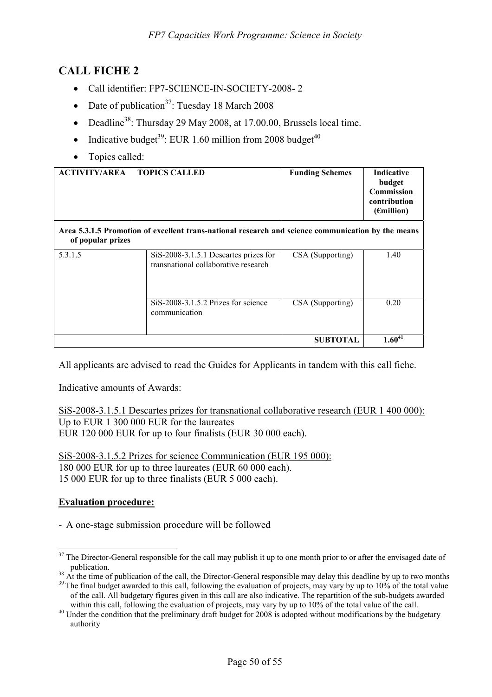# **CALL FICHE 2**

- Call identifier: FP7-SCIENCE-IN-SOCIETY-2008-2
- Date of publication<sup>37</sup>: Tuesday 18 March 2008
- Deadline<sup>38</sup>: Thursday 29 May 2008, at  $17.00.00$ , Brussels local time.
- Indicative budget<sup>39</sup>: EUR 1.60 million from 2008 budget<sup>40</sup>
- Topics called:

| <b>ACTIVITY/AREA</b> | <b>TOPICS CALLED</b>                                                                               | <b>Funding Schemes</b> | <b>Indicative</b><br>budget<br>Commission<br>contribution<br>$(\epsilon$ million) |
|----------------------|----------------------------------------------------------------------------------------------------|------------------------|-----------------------------------------------------------------------------------|
| of popular prizes    | Area 5.3.1.5 Promotion of excellent trans-national research and science communication by the means |                        |                                                                                   |
| 5.3.1.5              | SiS-2008-3.1.5.1 Descartes prizes for<br>transnational collaborative research                      | CSA (Supporting)       | 1.40                                                                              |
|                      | SiS-2008-3.1.5.2 Prizes for science<br>communication                                               | CSA (Supporting)       | 0.20                                                                              |
|                      |                                                                                                    | <b>SUBTOTAL</b>        | $1.60^{41}$                                                                       |

All applicants are advised to read the Guides for Applicants in tandem with this call fiche.

Indicative amounts of Awards:

SiS-2008-3.1.5.1 Descartes prizes for transnational collaborative research (EUR 1 400 000): Up to EUR 1 300 000 EUR for the laureates EUR 120 000 EUR for up to four finalists (EUR 30 000 each).

SiS-2008-3.1.5.2 Prizes for science Communication (EUR 195 000): 180 000 EUR for up to three laureates (EUR 60 000 each). 15 000 EUR for up to three finalists (EUR 5 000 each).

### **Evaluation procedure:**

- A one-stage submission procedure will be followed

 $\overline{a}$  $37$  The Director-General responsible for the call may publish it up to one month prior to or after the envisaged date of

publication.<br><sup>38</sup> At the time of publication of the call, the Director-General responsible may delay this deadline by up to two months<br><sup>39</sup> The final budget awarded to this call, following the evaluation of projects, may v of the call. All budgetary figures given in this call are also indicative. The repartition of the sub-budgets awarded

 $40$  Under the condition that the preliminary draft budget for 2008 is adopted without modifications by the budgetary authority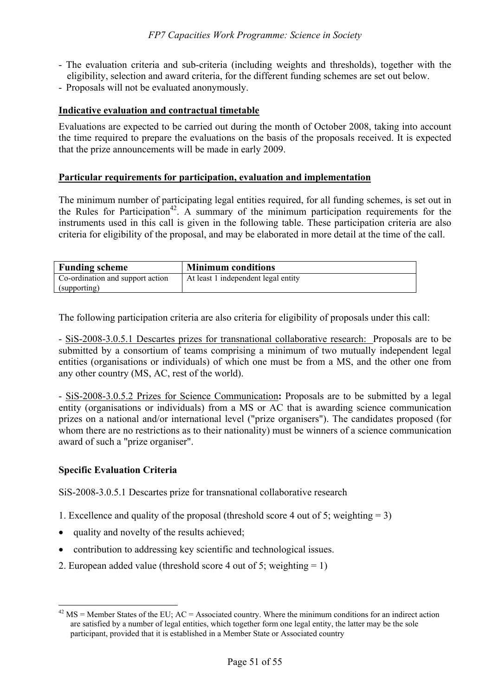- The evaluation criteria and sub-criteria (including weights and thresholds), together with the eligibility, selection and award criteria, for the different funding schemes are set out below.
- Proposals will not be evaluated anonymously.

#### **Indicative evaluation and contractual timetable**

Evaluations are expected to be carried out during the month of October 2008, taking into account the time required to prepare the evaluations on the basis of the proposals received. It is expected that the prize announcements will be made in early 2009.

#### **Particular requirements for participation, evaluation and implementation**

The minimum number of participating legal entities required, for all funding schemes, is set out in the Rules for Participation<sup>42</sup>. A summary of the minimum participation requirements for the instruments used in this call is given in the following table. These participation criteria are also criteria for eligibility of the proposal, and may be elaborated in more detail at the time of the call.

| <b>Funding scheme</b>            | <b>Minimum conditions</b>           |
|----------------------------------|-------------------------------------|
| Co-ordination and support action | At least 1 independent legal entity |
| (supporting)                     |                                     |

The following participation criteria are also criteria for eligibility of proposals under this call:

- SiS-2008-3.0.5.1 Descartes prizes for transnational collaborative research: Proposals are to be submitted by a consortium of teams comprising a minimum of two mutually independent legal entities (organisations or individuals) of which one must be from a MS, and the other one from any other country (MS, AC, rest of the world).

- SiS-2008-3.0.5.2 Prizes for Science Communication**:** Proposals are to be submitted by a legal entity (organisations or individuals) from a MS or AC that is awarding science communication prizes on a national and/or international level ("prize organisers"). The candidates proposed (for whom there are no restrictions as to their nationality) must be winners of a science communication award of such a "prize organiser".

### **Specific Evaluation Criteria**

 $\overline{a}$ 

SiS-2008-3.0.5.1 Descartes prize for transnational collaborative research

- 1. Excellence and quality of the proposal (threshold score 4 out of 5; weighting = 3)
- quality and novelty of the results achieved;
- contribution to addressing key scientific and technological issues.
- 2. European added value (threshold score 4 out of 5; weighting  $= 1$ )

 $42$  MS = Member States of the EU; AC = Associated country. Where the minimum conditions for an indirect action are satisfied by a number of legal entities, which together form one legal entity, the latter may be the sole participant, provided that it is established in a Member State or Associated country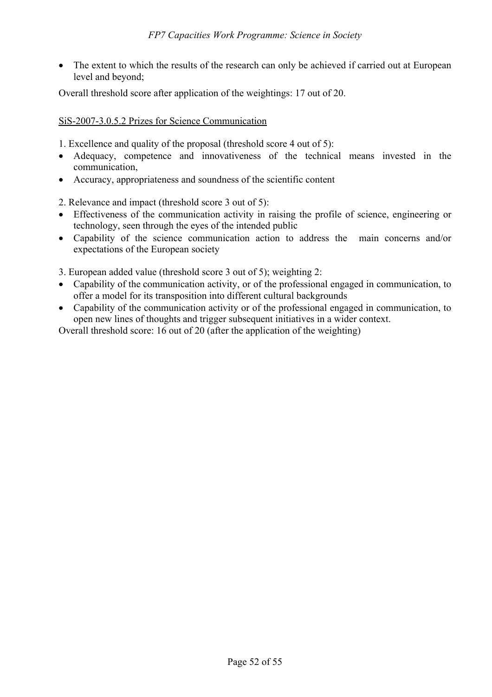• The extent to which the results of the research can only be achieved if carried out at European level and beyond;

Overall threshold score after application of the weightings: 17 out of 20.

### SiS-2007-3.0.5.2 Prizes for Science Communication

1. Excellence and quality of the proposal (threshold score 4 out of 5):

- Adequacy, competence and innovativeness of the technical means invested in the communication,
- Accuracy, appropriateness and soundness of the scientific content

2. Relevance and impact (threshold score 3 out of 5):

- Effectiveness of the communication activity in raising the profile of science, engineering or technology, seen through the eyes of the intended public
- Capability of the science communication action to address the main concerns and/or expectations of the European society

3. European added value (threshold score 3 out of 5); weighting 2:

- Capability of the communication activity, or of the professional engaged in communication, to offer a model for its transposition into different cultural backgrounds
- Capability of the communication activity or of the professional engaged in communication, to open new lines of thoughts and trigger subsequent initiatives in a wider context.

Overall threshold score: 16 out of 20 (after the application of the weighting)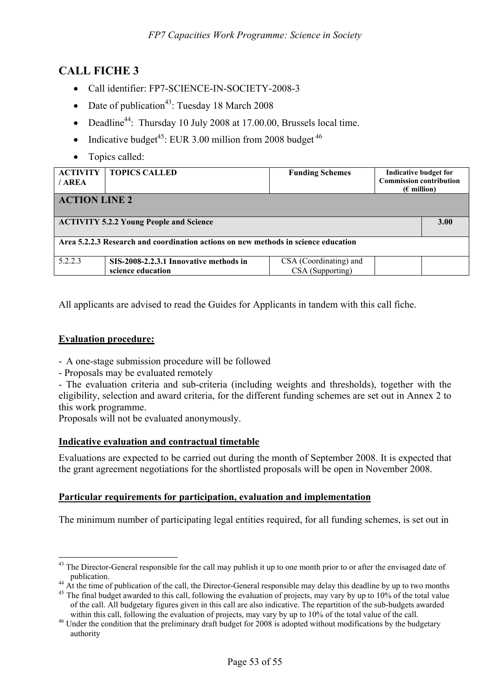# **CALL FICHE 3**

- Call identifier: FP7-SCIENCE-IN-SOCIETY-2008-3
- Date of publication<sup>43</sup>: Tuesday 18 March 2008
- Deadline<sup>44</sup>: Thursday 10 July 2008 at 17.00.00, Brussels local time.
- Indicative budget<sup>45</sup>: EUR 3.00 million from 2008 budget<sup>46</sup>
- Topics called:

| <b>ACTIVITY</b><br>/AREA                                                           | <b>TOPICS CALLED</b>                                        | <b>Funding Schemes</b>                     | Indicative budget for<br><b>Commission contribution</b><br>$(\epsilon$ million) |      |  |
|------------------------------------------------------------------------------------|-------------------------------------------------------------|--------------------------------------------|---------------------------------------------------------------------------------|------|--|
| <b>ACTION LINE 2</b>                                                               |                                                             |                                            |                                                                                 |      |  |
| <b>ACTIVITY 5.2.2 Young People and Science</b>                                     |                                                             |                                            |                                                                                 | 3.00 |  |
| Area 5.2.2.3 Research and coordination actions on new methods in science education |                                                             |                                            |                                                                                 |      |  |
| 5.2.2.3                                                                            | SIS-2008-2.2.3.1 Innovative methods in<br>science education | CSA (Coordinating) and<br>CSA (Supporting) |                                                                                 |      |  |

All applicants are advised to read the Guides for Applicants in tandem with this call fiche.

# **Evaluation procedure:**

 $\overline{a}$ 

- A one-stage submission procedure will be followed
- Proposals may be evaluated remotely
- The evaluation criteria and sub-criteria (including weights and thresholds), together with the eligibility, selection and award criteria, for the different funding schemes are set out in Annex 2 to this work programme.

Proposals will not be evaluated anonymously.

### **Indicative evaluation and contractual timetable**

Evaluations are expected to be carried out during the month of September 2008. It is expected that the grant agreement negotiations for the shortlisted proposals will be open in November 2008.

### **Particular requirements for participation, evaluation and implementation**

The minimum number of participating legal entities required, for all funding schemes, is set out in

 $43$  The Director-General responsible for the call may publish it up to one month prior to or after the envisaged date of

publication.<br><sup>44</sup> At the time of publication of the call, the Director-General responsible may delay this deadline by up to two months<br><sup>45</sup> The final budget awarded to this call, following the evaluation of projects, may v

of the call. All budgetary figures given in this call are also indicative. The repartition of the sub-budgets awarded

within this call, following the evaluation of projects, may vary by up to 10% of the total value of the call.<br><sup>46</sup> Under the condition that the preliminary draft budget for 2008 is adopted without modifications by the budg authority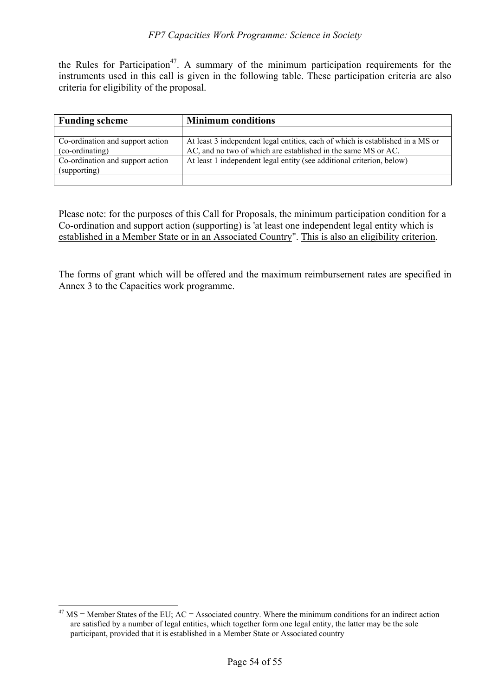the Rules for Participation<sup>47</sup>. A summary of the minimum participation requirements for the instruments used in this call is given in the following table. These participation criteria are also criteria for eligibility of the proposal.

| <b>Funding scheme</b>                               | <b>Minimum conditions</b>                                                                                                                       |  |  |
|-----------------------------------------------------|-------------------------------------------------------------------------------------------------------------------------------------------------|--|--|
|                                                     |                                                                                                                                                 |  |  |
| Co-ordination and support action<br>(co-ordinating) | At least 3 independent legal entities, each of which is established in a MS or<br>AC, and no two of which are established in the same MS or AC. |  |  |
| Co-ordination and support action<br>(supporting)    | At least 1 independent legal entity (see additional criterion, below)                                                                           |  |  |
|                                                     |                                                                                                                                                 |  |  |

Please note: for the purposes of this Call for Proposals, the minimum participation condition for a Co-ordination and support action (supporting) is 'at least one independent legal entity which is established in a Member State or in an Associated Country". This is also an eligibility criterion.

The forms of grant which will be offered and the maximum reimbursement rates are specified in Annex 3 to the Capacities work programme.

 $\overline{a}$ 

 $^{47}$  MS = Member States of the EU; AC = Associated country. Where the minimum conditions for an indirect action are satisfied by a number of legal entities, which together form one legal entity, the latter may be the sole participant, provided that it is established in a Member State or Associated country